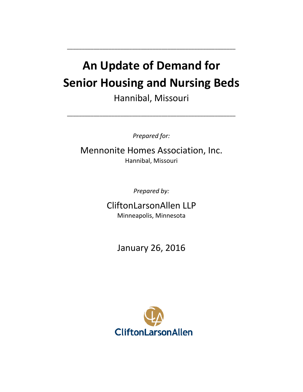# **An Update of Demand for Senior Housing and Nursing Beds**

\_\_\_\_\_\_\_\_\_\_\_\_\_\_\_\_\_\_\_\_\_\_\_\_\_\_\_\_\_\_\_\_\_\_\_\_\_\_\_\_\_\_\_\_\_\_\_\_\_\_\_\_\_\_\_\_\_

Hannibal, Missouri

\_\_\_\_\_\_\_\_\_\_\_\_\_\_\_\_\_\_\_\_\_\_\_\_\_\_\_\_\_\_\_\_\_\_\_\_\_\_\_\_\_\_\_\_\_\_\_\_\_\_\_\_\_\_\_\_\_

*Prepared for:*

Mennonite Homes Association, Inc. Hannibal, Missouri

*Prepared by:*

CliftonLarsonAllen LLP Minneapolis, Minnesota

January 26, 2016

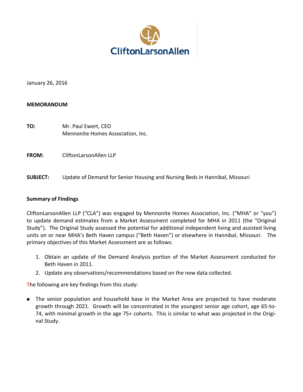

January 26, 2016

### **MEMORANDUM**

**TO:** Mr. Paul Ewert, CEO Mennonite Homes Association, Inc.

**FROM:** CliftonLarsonAllen LLP

**SUBJECT:** Update of Demand for Senior Housing and Nursing Beds in Hannibal, Missouri

### **Summary of Findings**

CliftonLarsonAllen LLP ("CLA") was engaged by Mennonite Homes Association, Inc. ("MHA" or "you") to update demand estimates from a Market Assessment completed for MHA in 2011 (the "Original Study"). The Original Study assessed the potential for additional independent living and assisted living units on or near MHA's Beth Haven campus ("Beth Haven") or elsewhere in Hannibal, Missouri. The primary objectives of this Market Assessment are as follows:

- 1. Obtain an update of the Demand Analysis portion of the Market Assessment conducted for Beth Haven in 2011.
- 2. Update any observations/recommendations based on the new data collected.

The following are key findings from this study:

**The senior population and household base in the Market Area are projected to have moderate** growth through 2021. Growth will be concentrated in the youngest senior age cohort, age 65-to-74, with minimal growth in the age 75+ cohorts. This is similar to what was projected in the Original Study.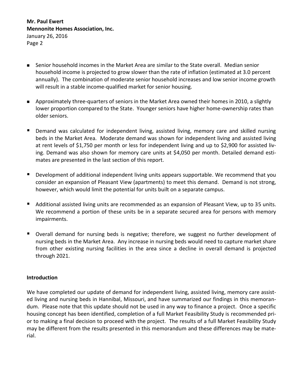- Senior household incomes in the Market Area are similar to the State overall. Median senior household income is projected to grow slower than the rate of inflation (estimated at 3.0 percent annually). The combination of moderate senior household increases and low senior income growth will result in a stable income-qualified market for senior housing.
- Approximately three-quarters of seniors in the Market Area owned their homes in 2010, a slightly lower proportion compared to the State. Younger seniors have higher home-ownership rates than older seniors.
- **Demand was calculated for independent living, assisted living, memory care and skilled nursing** beds in the Market Area. Moderate demand was shown for independent living and assisted living at rent levels of \$1,750 per month or less for independent living and up to \$2,900 for assisted living. Demand was also shown for memory care units at \$4,050 per month. Detailed demand estimates are presented in the last section of this report.
- **Development of additional independent living units appears supportable. We recommend that you** consider an expansion of Pleasant View (apartments) to meet this demand. Demand is not strong, however, which would limit the potential for units built on a separate campus.
- Additional assisted living units are recommended as an expansion of Pleasant View, up to 35 units. We recommend a portion of these units be in a separate secured area for persons with memory impairments.
- Overall demand for nursing beds is negative; therefore, we suggest no further development of nursing beds in the Market Area. Any increase in nursing beds would need to capture market share from other existing nursing facilities in the area since a decline in overall demand is projected through 2021.

### **Introduction**

We have completed our update of demand for independent living, assisted living, memory care assisted living and nursing beds in Hannibal, Missouri, and have summarized our findings in this memorandum. Please note that this update should not be used in any way to finance a project. Once a specific housing concept has been identified, completion of a full Market Feasibility Study is recommended prior to making a final decision to proceed with the project. The results of a full Market Feasibility Study may be different from the results presented in this memorandum and these differences may be material.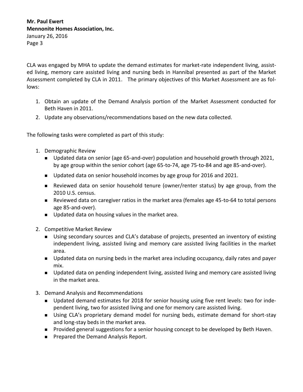CLA was engaged by MHA to update the demand estimates for market-rate independent living, assisted living, memory care assisted living and nursing beds in Hannibal presented as part of the Market Assessment completed by CLA in 2011. The primary objectives of this Market Assessment are as follows:

- 1. Obtain an update of the Demand Analysis portion of the Market Assessment conducted for Beth Haven in 2011.
- 2. Update any observations/recommendations based on the new data collected.

The following tasks were completed as part of this study:

- 1. Demographic Review
	- **Updated data on senior (age 65-and-over) population and household growth through 2021,** by age group within the senior cohort (age 65-to-74, age 75-to-84 and age 85-and-over).
	- Updated data on senior household incomes by age group for 2016 and 2021.
	- Reviewed data on senior household tenure (owner/renter status) by age group, from the 2010 U.S. census.
	- Reviewed data on caregiver ratios in the market area (females age 45-to-64 to total persons age 85-and-over).
	- Updated data on housing values in the market area.
- 2. Competitive Market Review
	- **Using secondary sources and CLA's database of projects, presented an inventory of existing** independent living, assisted living and memory care assisted living facilities in the market area.
	- **Updated data on nursing beds in the market area including occupancy, daily rates and payer** mix.
	- Updated data on pending independent living, assisted living and memory care assisted living in the market area.
- 3. Demand Analysis and Recommendations
	- **D** Updated demand estimates for 2018 for senior housing using five rent levels: two for independent living, two for assisted living and one for memory care assisted living.
	- Using CLA's proprietary demand model for nursing beds, estimate demand for short-stay and long-stay beds in the market area.
	- **Provided general suggestions for a senior housing concept to be developed by Beth Haven.**
	- **Prepared the Demand Analysis Report.**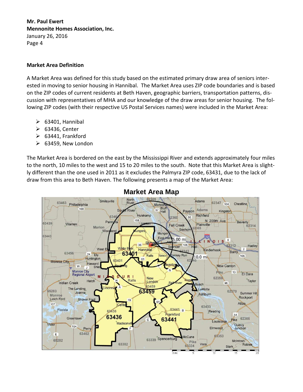## **Market Area Definition**

A Market Area was defined for this study based on the estimated primary draw area of seniors interested in moving to senior housing in Hannibal. The Market Area uses ZIP code boundaries and is based on the ZIP codes of current residents at Beth Haven, geographic barriers, transportation patterns, discussion with representatives of MHA and our knowledge of the draw areas for senior housing. The following ZIP codes (with their respective US Postal Services names) were included in the Market Area:

- $\triangleright$  63401, Hannibal
- 63436, Center
- $\triangleright$  63441, Frankford
- $\geq$  63459, New London

The Market Area is bordered on the east by the Mississippi River and extends approximately four miles to the north, 10 miles to the west and 15 to 20 miles to the south. Note that this Market Area is slightly different than the one used in 2011 as it excludes the Palmyra ZIP code, 63431, due to the lack of draw from this area to Beth Haven. The following presents a map of the Market Area:



## **Market Area Map**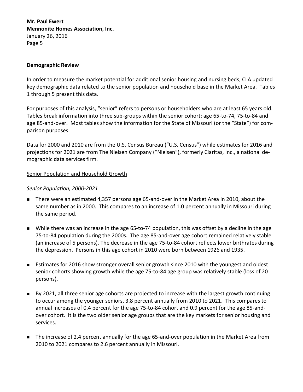#### **Demographic Review**

In order to measure the market potential for additional senior housing and nursing beds, CLA updated key demographic data related to the senior population and household base in the Market Area. Tables 1 through 5 present this data.

For purposes of this analysis, "senior" refers to persons or householders who are at least 65 years old. Tables break information into three sub-groups within the senior cohort: age 65-to-74, 75-to-84 and age 85-and-over. Most tables show the information for the State of Missouri (or the "State") for comparison purposes.

Data for 2000 and 2010 are from the U.S. Census Bureau ("U.S. Census") while estimates for 2016 and projections for 2021 are from The Nielsen Company ("Nielsen"), formerly Claritas, Inc., a national demographic data services firm.

### Senior Population and Household Growth

#### *Senior Population, 2000-2021*

- There were an estimated 4,357 persons age 65-and-over in the Market Area in 2010, about the same number as in 2000. This compares to an increase of 1.0 percent annually in Missouri during the same period.
- While there was an increase in the age 65-to-74 population, this was offset by a decline in the age 75-to-84 population during the 2000s. The age 85-and-over age cohort remained relatively stable (an increase of 5 persons). The decrease in the age 75-to-84 cohort reflects lower birthrates during the depression. Persons in this age cohort in 2010 were born between 1926 and 1935.
- Estimates for 2016 show stronger overall senior growth since 2010 with the youngest and oldest senior cohorts showing growth while the age 75-to-84 age group was relatively stable (loss of 20 persons).
- By 2021, all three senior age cohorts are projected to increase with the largest growth continuing to occur among the younger seniors, 3.8 percent annually from 2010 to 2021. This compares to annual increases of 0.4 percent for the age 75-to-84 cohort and 0.9 percent for the age 85-andover cohort. It is the two older senior age groups that are the key markets for senior housing and services.
- The increase of 2.4 percent annually for the age 65-and-over population in the Market Area from 2010 to 2021 compares to 2.6 percent annually in Missouri.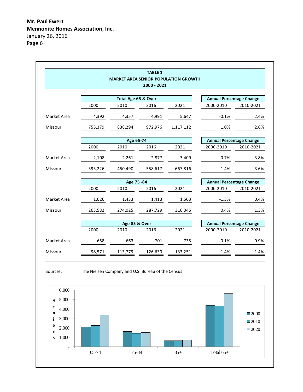|             |                                                   |                     | 2000 - 2021 | <b>MARKET AREA SENIOR POPULATION GROWTH</b> |                                 |           |
|-------------|---------------------------------------------------|---------------------|-------------|---------------------------------------------|---------------------------------|-----------|
|             |                                                   | Total Age 65 & Over |             |                                             | <b>Annual Percentage Change</b> |           |
|             | 2000                                              | 2010                | 2016        | 2021                                        | 2000-2010                       | 2010-2021 |
| Market Area | 4,392                                             | 4,357               | 4,991       | 5,647                                       | $-0.1%$                         | 2.4%      |
| Missouri    | 755,379                                           | 838,294             | 972,976     | 1,117,112                                   | 1.0%                            | 2.6%      |
|             |                                                   | Age 65-74           |             |                                             | <b>Annual Percentage Change</b> |           |
|             | 2000                                              | 2010                | 2016        | 2021                                        | 2000-2010                       | 2010-2021 |
| Market Area | 2,108                                             | 2,261               | 2,877       | 3,409                                       | 0.7%                            | 3.8%      |
| Missouri    | 393,226                                           | 450,490             | 558,617     | 667,816                                     | 1.4%                            | 3.6%      |
|             |                                                   | Age 75 -84          |             |                                             | <b>Annual Percentage Change</b> |           |
|             | 2000                                              | 2010                | 2016        | 2021                                        | 2000-2010                       | 2010-2021 |
| Market Area | 1,626                                             | 1,433               | 1,413       | 1,503                                       | $-1.3%$                         | 0.4%      |
| Missouri    | 263,582                                           | 274,025             | 287,729     | 316,045                                     | 0.4%                            | 1.3%      |
|             |                                                   | Age 85 & Over       |             |                                             | <b>Annual Percentage Change</b> |           |
|             | 2000                                              | 2010                | 2016        | 2021                                        | 2000-2010                       | 2010-2021 |
| Market Area | 658                                               | 663                 | 701         | 735                                         | 0.1%                            | 0.9%      |
| Missouri    | 98,571                                            | 113,779             | 126,630     | 133,251                                     | 1.4%                            | 1.4%      |
| Sources:    | The Nielsen Company and U.S. Bureau of the Census |                     |             |                                             |                                 |           |

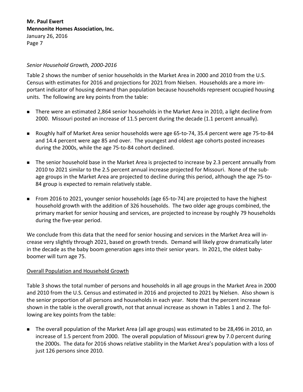### *Senior Household Growth, 2000-2016*

Table 2 shows the number of senior households in the Market Area in 2000 and 2010 from the U.S. Census with estimates for 2016 and projections for 2021 from Nielsen. Households are a more important indicator of housing demand than population because households represent occupied housing units. The following are key points from the table:

- There were an estimated 2,864 senior households in the Market Area in 2010, a light decline from 2000. Missouri posted an increase of 11.5 percent during the decade (1.1 percent annually).
- Roughly half of Market Area senior households were age 65-to-74, 35.4 percent were age 75-to-84 and 14.4 percent were age 85 and over. The youngest and oldest age cohorts posted increases during the 2000s, while the age 75-to-84 cohort declined.
- The senior household base in the Market Area is projected to increase by 2.3 percent annually from 2010 to 2021 similar to the 2.5 percent annual increase projected for Missouri. None of the subage groups in the Market Area are projected to decline during this period, although the age 75-to-84 group is expected to remain relatively stable.
- From 2016 to 2021, younger senior households (age 65-to-74) are projected to have the highest household growth with the addition of 326 households. The two older age groups combined, the primary market for senior housing and services, are projected to increase by roughly 79 households during the five-year period.

We conclude from this data that the need for senior housing and services in the Market Area will increase very slightly through 2021, based on growth trends. Demand will likely grow dramatically later in the decade as the baby boom generation ages into their senior years. In 2021, the oldest babyboomer will turn age 75.

## Overall Population and Household Growth

Table 3 shows the total number of persons and households in all age groups in the Market Area in 2000 and 2010 from the U.S. Census and estimated in 2016 and projected to 2021 by Nielsen. Also shown is the senior proportion of all persons and households in each year. Note that the percent increase shown in the table is the overall growth, not that annual increase as shown in Tables 1 and 2. The following are key points from the table:

 The overall population of the Market Area (all age groups) was estimated to be 28,496 in 2010, an increase of 1.5 percent from 2000. The overall population of Missouri grew by 7.0 percent during the 2000s. The data for 2016 shows relative stability in the Market Area's population with a loss of just 126 persons since 2010.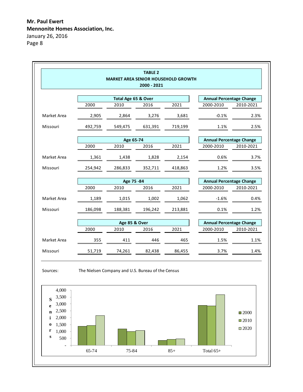|             |         |                     | <b>TABLE 2</b><br>2000 - 2021 | <b>MARKET AREA SENIOR HOUSEHOLD GROWTH</b> |                                 |           |
|-------------|---------|---------------------|-------------------------------|--------------------------------------------|---------------------------------|-----------|
|             |         | Total Age 65 & Over |                               |                                            | <b>Annual Percentage Change</b> |           |
|             | 2000    | 2010                | 2016                          | 2021                                       | 2000-2010                       | 2010-2021 |
| Market Area | 2,905   | 2,864               | 3,276                         | 3,681                                      | $-0.1%$                         | 2.3%      |
| Missouri    | 492,759 | 549,475             | 631,391                       | 719,199                                    | 1.1%                            | 2.5%      |
|             |         | Age 65-74           |                               |                                            | <b>Annual Percentage Change</b> |           |
|             | 2000    | 2010                | 2016                          | 2021                                       | 2000-2010                       | 2010-2021 |
| Market Area | 1,361   | 1,438               | 1,828                         | 2,154                                      | 0.6%                            | 3.7%      |
| Missouri    | 254,942 | 286,833             | 352,711                       | 418,863                                    | 1.2%                            | 3.5%      |
|             |         | Age 75 -84          |                               |                                            | <b>Annual Percentage Change</b> |           |
|             | 2000    | 2010                | 2016                          | 2021                                       | 2000-2010                       | 2010-2021 |
| Market Area | 1,189   | 1,015               | 1,002                         | 1,062                                      | $-1.6%$                         | 0.4%      |
| Missouri    | 186,098 | 188,381             | 196,242                       | 213,881                                    | 0.1%                            | 1.2%      |
|             |         | Age 85 & Over       |                               |                                            | <b>Annual Percentage Change</b> |           |
|             | 2000    | 2010                | 2016                          | 2021                                       | 2000-2010                       | 2010-2021 |
| Market Area | 355     | 411                 | 446                           | 465                                        | 1.5%                            | 1.1%      |
| Missouri    | 51,719  | 74,261              | 82,438                        | 86,455                                     | 3.7%                            | 1.4%      |



Sources: The Nielsen Company and U.S. Bureau of the Census

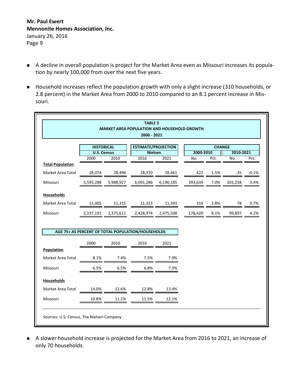- A decline in overall population is project for the Market Area even as Missouri increases its population by nearly 100,000 from over the next five years.
- Household increases reflect the population growth with only a slight increase (310 households, or 2.8 percent) in the Market Area from 2000 to 2010 compared to an 8.1 percent increase in Missouri.

|                                                    |                            |           | <b>TABLE 3</b><br><b>MARKET AREA POPULATION AND HOUSEHOLD GROWTH</b><br>2000 - 2021 |           |           |               |           |         |
|----------------------------------------------------|----------------------------|-----------|-------------------------------------------------------------------------------------|-----------|-----------|---------------|-----------|---------|
|                                                    | <b>HISTORICAL</b>          |           | <b>ESTIMATE/PROJECTION</b>                                                          |           |           | <b>CHANGE</b> |           |         |
|                                                    | <b>U.S. Census</b><br>2000 | 2010      | <b>Nielsen</b><br>2016                                                              |           | 2000-2010 |               | 2010-2021 |         |
| <b>Total Population</b>                            |                            |           |                                                                                     | 2021      | No.       | Pct.          | No.       | Pct.    |
| Market Area Total                                  | 28,074                     | 28,496    | 28,370                                                                              | 28,461    | 422       | 1.5%          | -35       | $-0.1%$ |
| Missouri                                           | 5,595,288                  | 5,988,927 | 6,091,286                                                                           | 6,190,185 | 393,639   | 7.0%          | 201,258   | 3.4%    |
| <b>Households</b>                                  |                            |           |                                                                                     |           |           |               |           |         |
|                                                    | 11,005                     | 11,315    | 11,323                                                                              | 11,393    | 310       | 2.8%          | 78        | 0.7%    |
|                                                    |                            |           |                                                                                     |           |           |               |           |         |
| Market Area Total<br>Missouri                      | 2,197,191                  | 2,375,611 | 2,428,974                                                                           | 2,475,508 | 178,420   | 8.1%          | 99,897    |         |
|                                                    | 2000                       | 2010      | AGE 75+ AS PERCENT OF TOTAL POPULATION/HOUSEHOLDS<br>2016                           | 2021      |           |               |           |         |
|                                                    |                            |           |                                                                                     |           |           |               |           |         |
|                                                    | 8.1%                       | 7.4%      | 7.5%                                                                                | 7.9%      |           |               |           |         |
| <b>Population</b><br>Market Area Total<br>Missouri | 6.5%                       | 6.5%      | 6.8%                                                                                | 7.3%      |           |               |           | 4.2%    |
| <b>Households</b>                                  |                            |           |                                                                                     |           |           |               |           |         |
| Market Area Total                                  | 14.0%                      | 12.6%     | 12.8%                                                                               | 13.4%     |           |               |           |         |

 A slower household increase is projected for the Market Area from 2016 to 2021, an increase of only 70 households.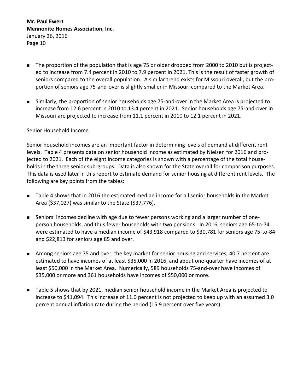- The proportion of the population that is age 75 or older dropped from 2000 to 2010 but is projected to increase from 7.4 percent in 2010 to 7.9 percent in 2021. This is the result of faster growth of seniors compared to the overall population. A similar trend exists for Missouri overall, but the proportion of seniors age 75-and-over is slightly smaller in Missouri compared to the Market Area.
- Similarly, the proportion of senior households age 75-and-over in the Market Area is projected to increase from 12.6 percent in 2010 to 13.4 percent in 2021. Senior households age 75-and-over in Missouri are projected to increase from 11.1 percent in 2010 to 12.1 percent in 2021.

### Senior Household Income

Senior household incomes are an important factor in determining levels of demand at different rent levels. Table 4 presents data on senior household income as estimated by Nielsen for 2016 and projected to 2021. Each of the eight income categories is shown with a percentage of the total households in the three senior sub-groups. Data is also shown for the State overall for comparison purposes. This data is used later in this report to estimate demand for senior housing at different rent levels. The following are key points from the tables:

- Table 4 shows that in 2016 the estimated median income for all senior households in the Market Area (\$37,027) was similar to the State (\$37,776).
- Seniors' incomes decline with age due to fewer persons working and a larger number of oneperson households, and thus fewer households with two pensions. In 2016, seniors age 65-to-74 were estimated to have a median income of \$43,918 compared to \$30,781 for seniors age 75-to-84 and \$22,813 for seniors age 85 and over.
- Among seniors age 75 and over, the key market for senior housing and services, 40.7 percent are estimated to have incomes of at least \$35,000 in 2016, and about one-quarter have incomes of at least \$50,000 in the Market Area. Numerically, 589 households 75-and-over have incomes of \$35,000 or more and 361 households have incomes of \$50,000 or more.
- Table 5 shows that by 2021, median senior household income in the Market Area is projected to increase to \$41,094. This increase of 11.0 percent is not projected to keep up with an assumed 3.0 percent annual inflation rate during the period (15.9 percent over five years).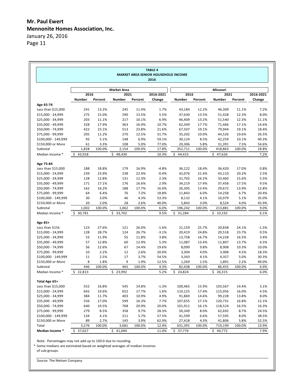Page 11

|                                  |          |         |                    |         | <b>TABLE 4</b><br>MARKET AREA SENIOR HOUSEHOLD INCOME<br>2016 |          |         |          |         |           |
|----------------------------------|----------|---------|--------------------|---------|---------------------------------------------------------------|----------|---------|----------|---------|-----------|
|                                  |          |         | <b>Market Area</b> |         |                                                               |          |         | Missouri |         |           |
|                                  | 2016     |         | 2021               |         | 2016-2021                                                     | 2016     |         | 2021     |         | 2016-2021 |
|                                  | Number   | Percent | Number             | Percent | Change                                                        | Number   | Percent | Number   | Percent | Change    |
| Age 65-74                        |          |         |                    |         |                                                               |          |         |          |         |           |
| Less than $$15,000$              | 241      | 13.2%   | 245                | 11.4%   | 1.7%                                                          | 43,184   | 12.2%   | 46,309   | 11.1%   | 7.2%      |
| \$15,000 - 24,999                | 275      | 15.0%   | 290                | 13.5%   | 5.5%                                                          | 47,630   | 13.5%   | 51,428   | 12.3%   | 8.0%      |
| \$25,000 - 34,999                | 203      | 11.1%   | 217                | 10.1%   | 6.9%                                                          | 46,409   | 13.2%   | 51,540   | 12.3%   | 11.1%     |
| $$35,000 - 49,999$               | 328      | 17.9%   | 363                | 16.9%   | 10.7%                                                         | 62,349   | 17.7%   | 71,466   | 17.1%   | 14.6%     |
| \$50,000 - 74,999                | 422      | 23.1%   | 513                | 23.8%   | 21.6%                                                         | 67,507   | 19.1%   | 79,944   | 19.1%   | 18.4%     |
| \$75,000 - 99,999                | 205      | 11.2%   | 270                | 12.5%   | 31.7%                                                         | 35,202   | 10.0%   | 44,526   | 10.6%   | 26.5%     |
| \$100,000 - 149,999              | 93       | 5.1%    | 148                | 6.9%    | 59.1%                                                         | 30,124   | 8.5%    | 42,259   | 10.1%   | 40.3%     |
| \$150,000 or More                | 61       | 3.3%    | 108                | 5.0%    | 77.0%                                                         | 20,306   | 5.8%    | 31,391   | 7.5%    | 54.6%     |
| Subtotal                         | 1,828    | 100.0%  | 2,154              | 100.0%  | 17.8%                                                         | 352,711  | 100.0%  | 418,863  | 100.0%  | 18.8%     |
| Median Income *                  | \$43,918 |         | \$48,430           |         | 10.3%                                                         | \$44,415 |         | \$47,626 |         | 7.2%      |
|                                  |          |         |                    |         |                                                               |          |         |          |         |           |
| Age 75-84<br>Less than $$15,000$ | 188      | 18.8%   | 179                | 16.9%   | $-4.8%$                                                       | 36,122   | 18.4%   | 36,420   | 17.0%   | 0.8%      |
| \$15,000 - 24,999                | 239      | 23.9%   | 238                | 22.4%   | $-0.4%$                                                       | 42,076   | 21.4%   | 43,110   | 20.2%   | 2.5%      |
| $$25,000 - 34,999$               | 128      | 12.8%   | 131                | 12.3%   | 2.3%                                                          | 31,702   | 16.2%   |          | 15.6%   | 5.5%      |
|                                  |          |         |                    |         |                                                               |          |         | 33,460   |         |           |
| \$35,000 - 49,999                | 171      | 17.1%   | 176                | 16.6%   | 2.9%                                                          | 34,219   | 17.4%   | 37,458   | 17.5%   | 9.5%      |
| \$50,000 - 74,999                | 162      | 16.2%   | 188                | 17.7%   | 16.0%                                                         | 26,305   | 13.4%   | 29,672   | 13.9%   | 12.8%     |
| \$75,000 - 99,999                | 64       | 6.4%    | 76                 | 7.2%    | 18.8%                                                         | 11,843   | 6.0%    | 14,258   | 6.7%    | 20.4%     |
| \$100,000 - 149,999              | 30       | 3.0%    | 46                 | 4.3%    | 53.3%                                                         | 8,132    | 4.1%    | 10,979   | 5.1%    | 35.0%     |
| \$150,000 or More                | 20       | 2.0%    | 28                 | 2.6%    | 40.0%                                                         | 5,843    | 3.0%    | 8,524    | 4.0%    | 45.9%     |
| Subtotal                         | 1,002    | 100.0%  | 1,062              | 100.0%  | 6.0%                                                          | 196,242  | 100.0%  | 213,881  | 100.0%  | 9.0%      |
| Median Income *                  | \$30,781 |         | \$33,702           |         | 9.5%                                                          | \$31,284 |         | \$33,192 |         | 6.1%      |
| Age 85+                          |          |         |                    |         |                                                               |          |         |          |         |           |
| Less than \$15k                  | 123      | 27.6%   | 121                | 26.0%   | $-1.6%$                                                       | 21,159   | 25.7%   | 20,838   | 24.1%   | $-1.5%$   |
| \$15,000 - 24,999                | 128      | 28.7%   | 124                | 26.7%   | $-3.1%$                                                       | 20,419   | 24.8%   | 20,518   | 23.7%   | 0.5%      |
| $$25,000 - 34,999$               | 53       | 11.9%   | 55                 | 11.8%   | 3.8%                                                          | 13,758   | 16.7%   | 14,228   | 16.5%   | 3.4%      |
| \$35,000 - 49,999                | 57       | 12.8%   | 60                 | 12.9%   | 5.3%                                                          | 11,087   | 13.4%   | 11,807   | 13.7%   | 6.5%      |
| \$50,000 - 74,999                | 56       | 12.6%   | 67                 | 14.4%   | 19.6%                                                         | 8,099    | 9.8%    | 8,908    | 10.3%   | 10.0%     |
| \$75,000 - 99,999                | 10       | 2.2%    | 12                 | 2.6%    | 20.0%                                                         | 3,304    | 4.0%    | 3,908    | 4.5%    | 18.3%     |
| \$100,000 - 149,999              | 11       | 2.5%    | 17                 | 3.7%    | 54.5%                                                         | 3,343    | 4.1%    | 4,357    | 5.0%    | 30.3%     |
| \$150,000 or More                | 8        | 1.8%    | 9                  | 1.9%    | 12.5%                                                         | 1,269    | 1.5%    | 1,891    | 2.2%    | 49.0%     |
| Subtotal                         | 446      | 100.0%  | 465                | 100.0%  | 4.3%                                                          | 82,438   | 100.0%  | 86,455   | 100.0%  | 4.9%      |
| Median Income *                  | \$22,813 |         | \$23,992           |         | 5.2%                                                          | \$24,824 |         | \$26,315 |         | 6.0%      |
| Total Age 65+                    |          |         |                    |         |                                                               |          |         |          |         |           |
| Less than \$15,000               | 552      | 16.8%   | 545                | 14.8%   | $-1.3%$                                                       | 100,465  | 15.9%   | 103,567  | 14.4%   | 3.1%      |
| \$15,000 - 24,999                | 642      | 19.6%   | 652                | 17.7%   | 1.6%                                                          | 110,125  | 17.4%   | 115,056  | 16.0%   | 4.5%      |
| \$25,000 - 34,999                | 384      | 11.7%   | 403                | 10.9%   | 4.9%                                                          | 91,869   | 14.6%   | 99,228   | 13.8%   | 8.0%      |
| \$35,000 - 49,999                | 556      | 17.0%   | 599                | 16.3%   | 7.7%                                                          | 107,655  | 17.1%   | 120,731  | 16.8%   | 12.1%     |
| \$50,000 - 74,999                | 640      | 19.5%   | 768                | 20.9%   | 20.0%                                                         | 101,911  | 16.1%   | 118,524  | 16.5%   | 16.3%     |
| \$75,000 - 99,999                | 279      | 8.5%    | 358                | 9.7%    | 28.3%                                                         | 50,349   | 8.0%    | 62,692   | 8.7%    | 24.5%     |
| \$100,000 - 149,999              | 134      | 4.1%    | 211                | 5.7%    | 57.5%                                                         | 41,599   | 6.6%    | 57,595   | 8.0%    | 38.5%     |
| \$150,000 or More                | 89       | 2.7%    | 145                | 3.9%    | 62.9%                                                         | 27,418   | 4.3%    | 41,806   | 5.8%    | 52.5%     |
| Total                            | 3,276    | 100.0%  | 3,681              | 100.0%  | 12.4%                                                         | 631,391  | 100.0%  | 719,199  | 100.0%  | 13.9%     |
|                                  |          |         |                    |         |                                                               |          |         |          |         |           |

Note: Percentages may not add up to 100.0 due to rounding.

\* Some medians are estimated based on weighted averages of median incomes

of sub-groups.

Source: The Nielsen Company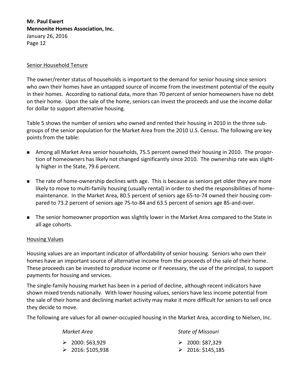#### Senior Household Tenure

The owner/renter status of households is important to the demand for senior housing since seniors who own their homes have an untapped source of income from the investment potential of the equity in their homes. According to national data, more than 70 percent of senior homeowners have no debt on their home. Upon the sale of the home, seniors can invest the proceeds and use the income dollar for dollar to support alternative housing.

Table 5 shows the number of seniors who owned and rented their housing in 2010 in the three subgroups of the senior population for the Market Area from the 2010 U.S. Census. The following are key points from the table:

- Among all Market Area senior households, 75.5 percent owned their housing in 2010. The proportion of homeowners has likely not changed significantly since 2010. The ownership rate was slightly higher in the State, 79.6 percent.
- **The rate of home-ownership declines with age. This is because as seniors get older they are more** likely to move to multi-family housing (usually rental) in order to shed the responsibilities of homemaintenance. In the Market Area, 80.5 percent of seniors age 65-to-74 owned their housing compared to 73.2 percent of seniors age 75-to-84 and 63.5 percent of seniors age 85-and-over.
- **The senior homeowner proportion was slightly lower in the Market Area compared to the State in** all age cohorts.

#### Housing Values

Housing values are an important indicator of affordability of senior housing. Seniors who own their homes have an important source of alternative income from the proceeds of the sale of their home. These proceeds can be invested to produce income or if necessary, the use of the principal, to support payments for housing and services.

The single-family housing market has been in a period of decline, although recent indicators have shown mixed trends nationally. With lower housing values, seniors have less income potential from the sale of their home and declining market activity may make it more difficult for seniors to sell once they decide to move.

The following are values for all owner-occupied housing in the Market Area, according to Nielsen, Inc.

| Market Area                                         | <b>State of Missouri</b>                            |
|-----------------------------------------------------|-----------------------------------------------------|
| $\geqslant$ 2000: \$63,929<br>$\geq 2016: $105,938$ | $\geqslant$ 2000: \$87,329<br>$\geq 2016: $145,185$ |
|                                                     |                                                     |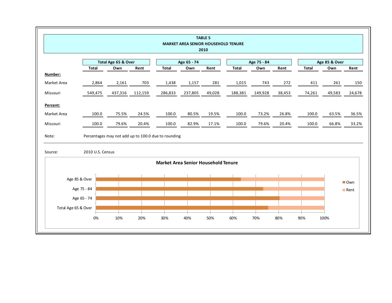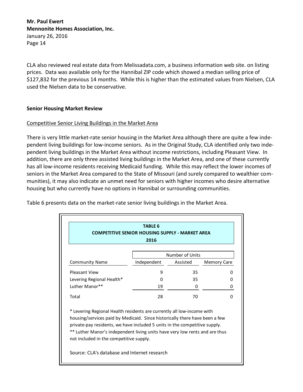CLA also reviewed real estate data from Melissadata.com, a business information web site. on listing prices. Data was available only for the Hannibal ZIP code which showed a median selling price of \$127,832 for the previous 14 months. While this is higher than the estimated values from Nielsen, CLA used the Nielsen data to be conservative.

### **Senior Housing Market Review**

#### Competitive Senior Living Buildings in the Market Area

There is very little market-rate senior housing in the Market Area although there are quite a few independent living buildings for low-income seniors. As in the Original Study, CLA identified only two independent living buildings in the Market Area without income restrictions, including Pleasant View. In addition, there are only three assisted living buildings in the Market Area, and one of these currently has all low-income residents receiving Medicaid funding. While this may reflect the lower incomes of seniors in the Market Area compared to the State of Missouri (and surely compared to wealthier communities), it may also indicate an unmet need for seniors with higher incomes who desire alternative housing but who currently have no options in Hannibal or surrounding communities.

|                                                                                                                                                                                                                                                                                                                                                               | <b>TABLE 6</b><br><b>COMPETITIVE SENIOR HOUSING SUPPLY - MARKET AREA</b><br>2016 |                 |                    |
|---------------------------------------------------------------------------------------------------------------------------------------------------------------------------------------------------------------------------------------------------------------------------------------------------------------------------------------------------------------|----------------------------------------------------------------------------------|-----------------|--------------------|
|                                                                                                                                                                                                                                                                                                                                                               |                                                                                  | Number of Units |                    |
| <b>Community Name</b>                                                                                                                                                                                                                                                                                                                                         | Independent                                                                      | Assisted        | <b>Memory Care</b> |
| <b>Pleasant View</b>                                                                                                                                                                                                                                                                                                                                          | 9                                                                                | 35              | ŋ                  |
| Levering Regional Health*                                                                                                                                                                                                                                                                                                                                     | 0                                                                                | 35              | 0                  |
| Luther Manor**                                                                                                                                                                                                                                                                                                                                                | 19                                                                               | 0               | 0                  |
| Total                                                                                                                                                                                                                                                                                                                                                         | 28                                                                               | 70              | 0                  |
| * Levering Regional Health residents are currently all low-income with<br>housing/services paid by Medicaid. Since historically there have been a few<br>private-pay residents, we have included 5 units in the competitive supply.<br>** Luther Manor's independent living units have very low rents and are thus<br>not included in the competitive supply. |                                                                                  |                 |                    |

Table 6 presents data on the market-rate senior living buildings in the Market Area.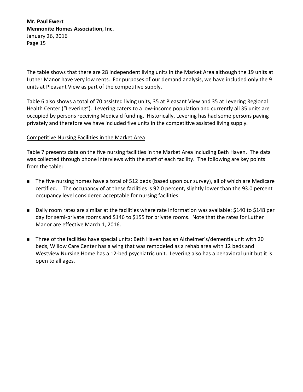The table shows that there are 28 independent living units in the Market Area although the 19 units at Luther Manor have very low rents. For purposes of our demand analysis, we have included only the 9 units at Pleasant View as part of the competitive supply.

Table 6 also shows a total of 70 assisted living units, 35 at Pleasant View and 35 at Levering Regional Health Center ("Levering"). Levering caters to a low-income population and currently all 35 units are occupied by persons receiving Medicaid funding. Historically, Levering has had some persons paying privately and therefore we have included five units in the competitive assisted living supply.

### Competitive Nursing Facilities in the Market Area

Table 7 presents data on the five nursing facilities in the Market Area including Beth Haven. The data was collected through phone interviews with the staff of each facility. The following are key points from the table:

- The five nursing homes have a total of 512 beds (based upon our survey), all of which are Medicare certified. The occupancy of at these facilities is 92.0 percent, slightly lower than the 93.0 percent occupancy level considered acceptable for nursing facilities.
- Daily room rates are similar at the facilities where rate information was available: \$140 to \$148 per day for semi-private rooms and \$146 to \$155 for private rooms. Note that the rates for Luther Manor are effective March 1, 2016.
- Three of the facilities have special units: Beth Haven has an Alzheimer's/dementia unit with 20 beds, Willow Care Center has a wing that was remodeled as a rehab area with 12 beds and Westview Nursing Home has a 12-bed psychiatric unit. Levering also has a behavioral unit but it is open to all ages.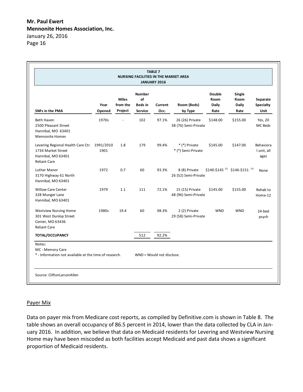|                                                                                                                 |                |                                     | <b>NURSING FACILITIES IN THE MARKET AREA</b>            | <b>TABLE 7</b><br>JANUARY 2016 |                                         |                                        |                                                       |                                      |
|-----------------------------------------------------------------------------------------------------------------|----------------|-------------------------------------|---------------------------------------------------------|--------------------------------|-----------------------------------------|----------------------------------------|-------------------------------------------------------|--------------------------------------|
| <b>SNFs in the PMA</b>                                                                                          | Year<br>Opened | <b>Miles</b><br>from the<br>Project | <b>Number</b><br>of<br><b>Beds</b> in<br><b>Service</b> | Current<br>Occ.                | Room (Beds)<br>by Type                  | <b>Double</b><br>Room<br>Daily<br>Rate | Single<br>Room<br><b>Daily</b><br>Rate                | Separate<br><b>Specialty</b><br>Unit |
| Beth Haven<br>2500 Pleasant Street<br>Hannibal, MO 63401<br><b>Mennonite Homes</b>                              | 1970s          |                                     | 102                                                     | 97.1%                          | 26 (26) Private<br>38 (76) Semi-Private | \$148.00                               | \$155.00                                              | Yes, 20<br>MC Beds                   |
| Levering Regional Health Care Ctr. 1991/2010<br>1734 Market Street<br>Hannibal, MO 63401<br><b>Reliant Care</b> | 1901           | 1.8                                 | 179                                                     | 99.4%                          | * (*) Private<br>* (*) Semi-Private     | \$145.00                               | \$147.00                                              | Behaviora<br>I unit, all<br>ages     |
| <b>Luther Manor</b><br>3170 Highway 61 North<br>Hannibal, MO 63401                                              | 1972           | 0.7                                 | 60                                                      | 93.3%                          | 8 (8) Private<br>26 (52) Semi-Private   |                                        | $$140-$145$ <sup>(1)</sup> \$146-\$151 <sup>(1)</sup> | None                                 |
| <b>Willow Care Center</b><br>328 Munger Lane<br>Hannibal, MO 63401                                              | 1979           | 1.1                                 | 111                                                     | 72.1%                          | 15 (15) Private<br>48 (96) Semi-Private | \$145.00                               | \$155.00                                              | Rehab to<br>Home-12                  |
| <b>Westview Nursing Home</b><br>301 West Dunlop Street<br>Center, MO 63436<br><b>Reliant Care</b>               | 1980s          | 19.4                                | 60                                                      | 98.3%                          | 2 (2) Private<br>29 (58) Semi-Private   | <b>WND</b>                             | <b>WND</b>                                            | 24-bed<br>psych                      |
| <b>TOTAL/OCCUPANCY</b>                                                                                          |                |                                     | 512                                                     | 92.2%                          |                                         |                                        |                                                       |                                      |
| Notes:<br>MC - Memory Care<br>* - Information not available at the time of research.                            |                |                                     | WND = Would not disclose.                               |                                |                                         |                                        |                                                       |                                      |

## Payer Mix

Data on payer mix from Medicare cost reports, as compiled by Definitive.com is shown in Table 8. The table shows an overall occupancy of 86.5 percent in 2014, lower than the data collected by CLA in January 2016. In addition, we believe that data on Medicaid residents for Levering and Westview Nursing Home may have been miscoded as both facilities accept Medicaid and past data shows a significant proportion of Medicaid residents.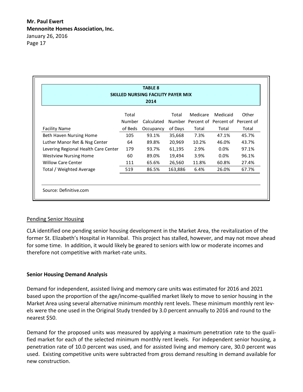| 2014<br>Total<br>Medicare<br>Total<br>Number<br>Calculated<br>Number Percent of Percent of Percent of<br>of Days<br>of Beds<br>Total<br>Occupancy<br>105<br>93.1%<br>7.3%<br>35,668<br>20,969<br>64<br>10.2%<br>89.8% | Medicaid<br>Other |
|-----------------------------------------------------------------------------------------------------------------------------------------------------------------------------------------------------------------------|-------------------|
|                                                                                                                                                                                                                       |                   |
|                                                                                                                                                                                                                       |                   |
| <b>Facility Name</b><br>Beth Haven Nursing Home<br>Luther Manor Ret & Nsg Center                                                                                                                                      |                   |
|                                                                                                                                                                                                                       | Total<br>Total    |
|                                                                                                                                                                                                                       | 47.1%<br>45.7%    |
|                                                                                                                                                                                                                       | 46.0%<br>43.7%    |
| Levering Regional Health Care Center<br>179<br>61,195<br>2.9%<br>93.7%                                                                                                                                                | 0.0%<br>97.1%     |
| 60<br>3.9%<br>89.0%<br>19,494<br><b>Westview Nursing Home</b>                                                                                                                                                         | $0.0\%$<br>96.1%  |
| <b>Willow Care Center</b><br>65.6%<br>26,560<br>11.8%<br>111                                                                                                                                                          | 60.8%<br>27.4%    |
| Total / Weighted Average<br>86.5%<br>163,886<br>6.4%<br>519                                                                                                                                                           | 26.0%<br>67.7%    |
|                                                                                                                                                                                                                       |                   |

## Pending Senior Housing

CLA identified one pending senior housing development in the Market Area, the revitalization of the former St. Elizabeth's Hospital in Hannibal. This project has stalled, however, and may not move ahead for some time. In addition, it would likely be geared to seniors with low or moderate incomes and therefore not competitive with market-rate units.

### **Senior Housing Demand Analysis**

Demand for independent, assisted living and memory care units was estimated for 2016 and 2021 based upon the proportion of the age/income-qualified market likely to move to senior housing in the Market Area using several alternative minimum monthly rent levels. These minimum monthly rent levels were the one used in the Original Study trended by 3.0 percent annually to 2016 and round to the nearest \$50.

Demand for the proposed units was measured by applying a maximum penetration rate to the qualified market for each of the selected minimum monthly rent levels. For independent senior housing, a penetration rate of 10.0 percent was used, and for assisted living and memory care, 30.0 percent was used. Existing competitive units were subtracted from gross demand resulting in demand available for new construction.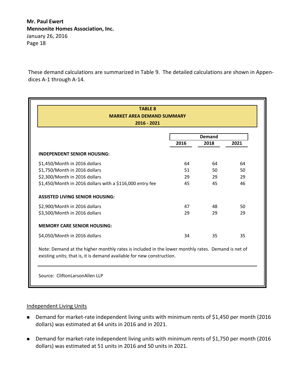These demand calculations are summarized in Table 9. The detailed calculations are shown in Appendices A-1 through A-14.

| <b>TABLE 8</b>                                                                                                                                                             |      |               |      |
|----------------------------------------------------------------------------------------------------------------------------------------------------------------------------|------|---------------|------|
| <b>MARKET AREA DEMAND SUMMARY</b>                                                                                                                                          |      |               |      |
| 2016 - 2021                                                                                                                                                                |      |               |      |
|                                                                                                                                                                            |      | <b>Demand</b> |      |
|                                                                                                                                                                            | 2016 | 2018          | 2021 |
| <b>INDEPENDENT SENIOR HOUSING:</b>                                                                                                                                         |      |               |      |
| \$1,450/Month in 2016 dollars                                                                                                                                              | 64   | 64            | 64   |
| \$1,750/Month in 2016 dollars                                                                                                                                              | 51   | 50            | 50   |
| \$2,300/Month in 2016 dollars                                                                                                                                              | 29   | 29            | 29   |
| \$1,450/Month in 2016 dollars with a \$116,000 entry fee                                                                                                                   | 45   | 45            | 46   |
| <b>ASSISTED LIVING SENIOR HOUSING:</b>                                                                                                                                     |      |               |      |
| \$2,900/Month in 2016 dollars                                                                                                                                              | 47   | 48            | 50   |
| \$3,500/Month in 2016 dollars                                                                                                                                              | 29   | 29            | 29   |
| <b>MEMORY CARE SENIOR HOUSING:</b>                                                                                                                                         |      |               |      |
| \$4,050/Month in 2016 dollars                                                                                                                                              | 34   | 35            | 35   |
| Note: Demand at the higher monthly rates is included in the lower monthly rates. Demand is net of<br>existing units; that is, it is demand available for new construction. |      |               |      |

#### Independent Living Units

- Demand for market-rate independent living units with minimum rents of \$1,450 per month (2016 dollars) was estimated at 64 units in 2016 and in 2021.
- Demand for market-rate independent living units with minimum rents of \$1,750 per month (2016 dollars) was estimated at 51 units in 2016 and 50 units in 2021.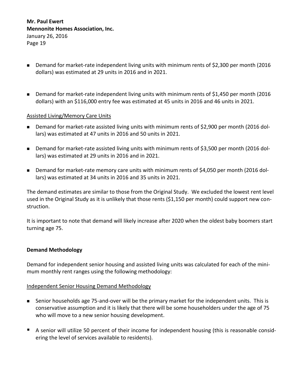- Demand for market-rate independent living units with minimum rents of \$2,300 per month (2016 dollars) was estimated at 29 units in 2016 and in 2021.
- Demand for market-rate independent living units with minimum rents of \$1,450 per month (2016 dollars) with an \$116,000 entry fee was estimated at 45 units in 2016 and 46 units in 2021.

### Assisted Living/Memory Care Units

- Demand for market-rate assisted living units with minimum rents of \$2,900 per month (2016 dollars) was estimated at 47 units in 2016 and 50 units in 2021.
- Demand for market-rate assisted living units with minimum rents of \$3,500 per month (2016 dollars) was estimated at 29 units in 2016 and in 2021.
- Demand for market-rate memory care units with minimum rents of \$4,050 per month (2016 dollars) was estimated at 34 units in 2016 and 35 units in 2021.

The demand estimates are similar to those from the Original Study. We excluded the lowest rent level used in the Original Study as it is unlikely that those rents (\$1,150 per month) could support new construction.

It is important to note that demand will likely increase after 2020 when the oldest baby boomers start turning age 75.

#### **Demand Methodology**

Demand for independent senior housing and assisted living units was calculated for each of the minimum monthly rent ranges using the following methodology:

#### Independent Senior Housing Demand Methodology

- Senior households age 75-and-over will be the primary market for the independent units. This is conservative assumption and it is likely that there will be some householders under the age of 75 who will move to a new senior housing development.
- A senior will utilize 50 percent of their income for independent housing (this is reasonable considering the level of services available to residents).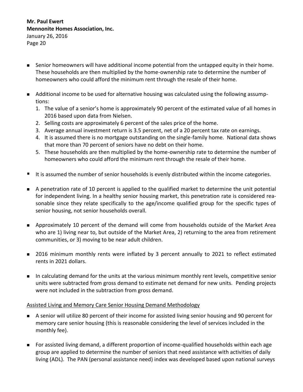- Senior homeowners will have additional income potential from the untapped equity in their home. These households are then multiplied by the home-ownership rate to determine the number of homeowners who could afford the minimum rent through the resale of their home.
- Additional income to be used for alternative housing was calculated using the following assumptions:
	- 1. The value of a senior's home is approximately 90 percent of the estimated value of all homes in 2016 based upon data from Nielsen.
	- 2. Selling costs are approximately 6 percent of the sales price of the home.
	- 3. Average annual investment return is 3.5 percent, net of a 20 percent tax rate on earnings.
	- 4. It is assumed there is no mortgage outstanding on the single-family home. National data shows that more than 70 percent of seniors have no debt on their home.
	- 5. These households are then multiplied by the home-ownership rate to determine the number of homeowners who could afford the minimum rent through the resale of their home.
- It is assumed the number of senior households is evenly distributed within the income categories.
- A penetration rate of 10 percent is applied to the qualified market to determine the unit potential for independent living. In a healthy senior housing market, this penetration rate is considered reasonable since they relate specifically to the age/income qualified group for the specific types of senior housing, not senior households overall.
- Approximately 10 percent of the demand will come from households outside of the Market Area who are 1) living near to, but outside of the Market Area, 2) returning to the area from retirement communities, or 3) moving to be near adult children.
- 2016 minimum monthly rents were inflated by 3 percent annually to 2021 to reflect estimated rents in 2021 dollars.
- In calculating demand for the units at the various minimum monthly rent levels, competitive senior units were subtracted from gross demand to estimate net demand for new units. Pending projects were not included in the subtraction from gross demand.

### Assisted Living and Memory Care Senior Housing Demand Methodology

- A senior will utilize 80 percent of their income for assisted living senior housing and 90 percent for memory care senior housing (this is reasonable considering the level of services included in the monthly fee).
- For assisted living demand, a different proportion of income-qualified households within each age group are applied to determine the number of seniors that need assistance with activities of daily living (ADL). The PAN (personal assistance need) index was developed based upon national surveys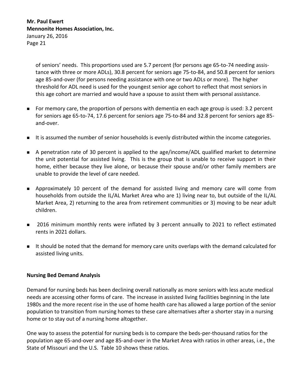of seniors' needs. This proportions used are 5.7 percent (for persons age 65-to-74 needing assistance with three or more ADLs), 30.8 percent for seniors age 75-to-84, and 50.8 percent for seniors age 85-and-over (for persons needing assistance with one or two ADLs or more). The higher threshold for ADL need is used for the youngest senior age cohort to reflect that most seniors in this age cohort are married and would have a spouse to assist them with personal assistance.

- For memory care, the proportion of persons with dementia en each age group is used: 3.2 percent for seniors age 65-to-74, 17.6 percent for seniors age 75-to-84 and 32.8 percent for seniors age 85 and-over.
- It is assumed the number of senior households is evenly distributed within the income categories.
- A penetration rate of 30 percent is applied to the age/income/ADL qualified market to determine the unit potential for assisted living. This is the group that is unable to receive support in their home, either because they live alone, or because their spouse and/or other family members are unable to provide the level of care needed.
- Approximately 10 percent of the demand for assisted living and memory care will come from households from outside the IL/AL Market Area who are 1) living near to, but outside of the IL/AL Market Area, 2) returning to the area from retirement communities or 3) moving to be near adult children.
- **2016** minimum monthly rents were inflated by 3 percent annually to 2021 to reflect estimated rents in 2021 dollars.
- It should be noted that the demand for memory care units overlaps with the demand calculated for assisted living units.

### **Nursing Bed Demand Analysis**

Demand for nursing beds has been declining overall nationally as more seniors with less acute medical needs are accessing other forms of care. The increase in assisted living facilities beginning in the late 1980s and the more recent rise in the use of home health care has allowed a large portion of the senior population to transition from nursing homes to these care alternatives after a shorter stay in a nursing home or to stay out of a nursing home altogether.

One way to assess the potential for nursing beds is to compare the beds-per-thousand ratios for the population age 65-and-over and age 85-and-over in the Market Area with ratios in other areas, i.e., the State of Missouri and the U.S. Table 10 shows these ratios.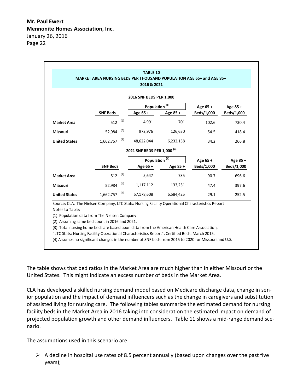|                      |                 |     | 2016 & 2021                                                                                      |           |            |            |
|----------------------|-----------------|-----|--------------------------------------------------------------------------------------------------|-----------|------------|------------|
|                      |                 |     | 2016 SNF BEDS PER 1,000                                                                          |           |            |            |
|                      |                 |     | Population <sup>(1)</sup>                                                                        |           | Age 65+    | Age 85+    |
|                      | <b>SNF Beds</b> |     | Age 65+                                                                                          | Age 85+   | Beds/1,000 | Beds/1,000 |
| <b>Market Area</b>   | 512             | (2) | 4,991                                                                                            | 701       | 102.6      | 730.4      |
| <b>Missouri</b>      | 52,984          | (3) | 972.976                                                                                          | 126,630   | 54.5       | 418.4      |
| <b>United States</b> | 1,662,757       | (3) | 48,622,044                                                                                       | 6,232,138 | 34.2       | 266.8      |
|                      |                 |     | 2021 SNF BEDS PER 1,000 <sup>(4)</sup>                                                           |           |            |            |
|                      |                 |     | Population <sup>(1)</sup>                                                                        |           | Age 65+    | Age 85+    |
|                      | <b>SNF Beds</b> |     | Age 65+                                                                                          | Age 85+   | Beds/1,000 | Beds/1,000 |
| <b>Market Area</b>   | 512             | (2) | 5.647                                                                                            | 735       | 90.7       | 696.6      |
| <b>Missouri</b>      | 52.984          | (4) | 1,117,112                                                                                        | 133,251   | 47.4       | 397.6      |
|                      | 1,662,757       | (4) | 57,178,608                                                                                       | 6,584,425 | 29.1       | 252.5      |
| <b>United States</b> |                 |     | Source: CLA, The Nielsen Company, LTC Stats: Nursing Facility Operational Characteristics Report |           |            |            |

The table shows that bed ratios in the Market Area are much higher than in either Missouri or the United States. This might indicate an excess number of beds in the Market Area.

CLA has developed a skilled nursing demand model based on Medicare discharge data, change in senior population and the impact of demand influencers such as the change in caregivers and substitution of assisted living for nursing care. The following tables summarize the estimated demand for nursing facility beds in the Market Area in 2016 taking into consideration the estimated impact on demand of projected population growth and other demand influencers. Table 11 shows a mid-range demand scenario.

The assumptions used in this scenario are:

 $\triangleright$  A decline in hospital use rates of 8.5 percent annually (based upon changes over the past five years);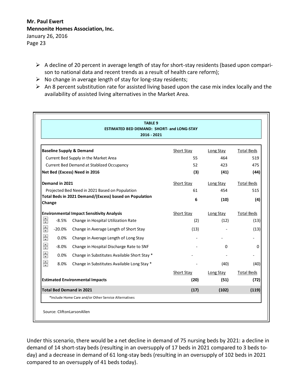- $\triangleright$  A decline of 20 percent in average length of stay for short-stay residents (based upon comparison to national data and recent trends as a result of health care reform);
- $\triangleright$  No change in average length of stay for long-stay residents;
- $\triangleright$  An 8 percent substitution rate for assisted living based upon the case mix index locally and the availability of assisted living alternatives in the Market Area.

|                    |          | <b>ESTIMATED BED DEMAND: SHORT- and LONG-STAY</b><br>2016 - 2021 |                    |                   |                           |
|--------------------|----------|------------------------------------------------------------------|--------------------|-------------------|---------------------------|
|                    |          | <b>Baseline Supply &amp; Demand</b>                              | Short Stay         | Long Stay         | <b>Total Beds</b>         |
|                    |          | Current Bed Supply in the Market Area                            | 55                 | 464               | 519                       |
|                    |          | Current Bed Demand at Stablized Occupancy                        | 52                 | 423               | 475                       |
|                    |          | Net Bed (Excess) Need in 2016                                    | (3)                | (41)              | (44)                      |
| Demand in 2021     |          |                                                                  | Short Stay         | Long Stay         | <b>Total Beds</b>         |
|                    |          | Projected Bed Need in 2021 Based on Population                   | 61                 | 454               | 515                       |
| Change             |          | Total Beds in 2021 Demand/(Excess) based on Population           | 6                  | (10)              | (4)                       |
|                    |          | <b>Environmental Impact Sensitivity Analysis</b>                 | Short Stay         | <b>Long Stay</b>  | <b>Total Beds</b>         |
| €                  | $-8.5%$  | Change in Hospital Utilization Rate                              | (2)                | (12)              | (13)                      |
| $\div$             | $-20.0%$ | Change in Average Length of Short Stay                           | (13)               |                   | (13)                      |
| $\div$             | 0.0%     | Change in Average Length of Long Stay                            |                    |                   |                           |
| $\div$             | $-8.0%$  | Change in Hospital Discharge Rate to SNF                         |                    | $\Omega$          | $\Omega$                  |
| $\hat{\mathbf{t}}$ | 0.0%     | Change in Substitutes Available Short Stay *                     |                    |                   |                           |
| $\hat{\mathbf{z}}$ | 8.0%     | Change in Substitutes Available Long Stay *                      |                    | (40)              | (40)                      |
|                    |          | <b>Estimated Environmental Impacts</b>                           | Short Stay<br>(20) | Long Stay<br>(51) | <b>Total Beds</b><br>(72) |
|                    |          | <b>Total Bed Demand in 2021</b>                                  | (17)               | (102)             | (119)                     |
|                    |          | *Include Home Care and/or Other Service Alternatives             |                    |                   |                           |

Under this scenario, there would be a net decline in demand of 75 nursing beds by 2021: a decline in demand of 14 short-stay beds (resulting in an oversupply of 17 beds in 2021 compared to 3 beds today) and a decrease in demand of 61 long-stay beds (resulting in an oversupply of 102 beds in 2021 compared to an oversupply of 41 beds today).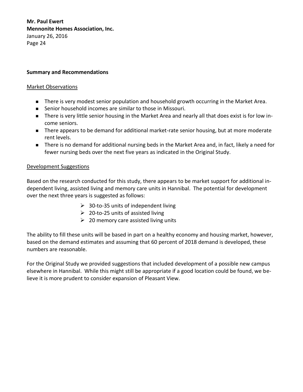## **Summary and Recommendations**

#### Market Observations

- **There is very modest senior population and household growth occurring in the Market Area.**
- Senior household incomes are similar to those in Missouri.
- There is very little senior housing in the Market Area and nearly all that does exist is for low income seniors.
- There appears to be demand for additional market-rate senior housing, but at more moderate rent levels.
- There is no demand for additional nursing beds in the Market Area and, in fact, likely a need for fewer nursing beds over the next five years as indicated in the Original Study.

#### Development Suggestions

Based on the research conducted for this study, there appears to be market support for additional independent living, assisted living and memory care units in Hannibal. The potential for development over the next three years is suggested as follows:

- $\geq$  30-to-35 units of independent living
- $\geq 20$ -to-25 units of assisted living
- $\geq$  20 memory care assisted living units

The ability to fill these units will be based in part on a healthy economy and housing market, however, based on the demand estimates and assuming that 60 percent of 2018 demand is developed, these numbers are reasonable.

For the Original Study we provided suggestions that included development of a possible new campus elsewhere in Hannibal. While this might still be appropriate if a good location could be found, we believe it is more prudent to consider expansion of Pleasant View.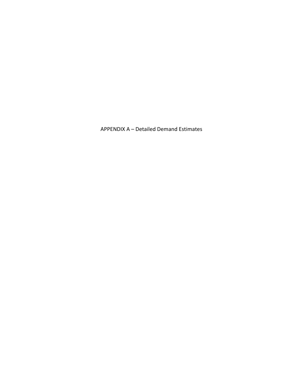APPENDIX A – Detailed Demand Estimates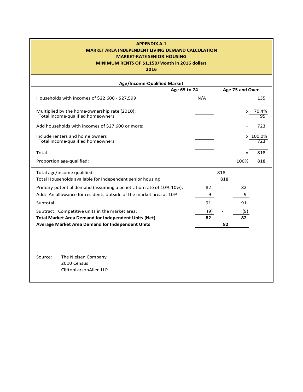## **APPENDIX A-1 APPENDIX A-2 MARKET AREA INDEPENDENT LIVING DEMAND CALCULATION MARKET AREA INDEPENDENT LIVING DEMAND CALCULATION MARKET-RATE SENIOR HOUSING MARKET-RATE SENIOR HOUSING**

## **MINIMUM RENTS OF \$1,150/Month in 2016 dollars MINIMUM RENTS OF \$1,150/Month in 2016 dollars**

| <b>Age/Income-Qualified Market</b>                                                       |              |     |            |                 |                 |
|------------------------------------------------------------------------------------------|--------------|-----|------------|-----------------|-----------------|
|                                                                                          | Age 65 to 74 |     |            | Age 75 and Over |                 |
| Households with incomes of \$22,600 - \$27,599                                           |              | N/A |            |                 | 135             |
| Multiplied by the home-ownership rate (2010):<br>Total income-qualified homeowners       |              |     |            |                 | x 70.4%<br>95   |
| Add households with incomes of \$27,600 or more:                                         |              |     |            |                 | 723             |
| Include renters and home owners<br>Total income-qualified homeowners                     |              |     |            |                 | x 100.0%<br>723 |
| Total                                                                                    |              |     |            |                 | 818             |
| Proportion age-qualified:                                                                |              |     |            | 100%            | 818             |
| Total age/income qualified:<br>Total Households available for independent senior housing |              |     | 818<br>818 |                 |                 |
| Primary potential demand (assuming a penetration rate of 10%-10%):                       |              | 82  |            | 82              |                 |
| Add: An allowance for residents outside of the market area at 10%                        |              | 9   |            | 9               |                 |
| Subtotal                                                                                 |              | 91  |            | 91              |                 |
| Subtract: Competitive units in the market area:                                          |              | (9) |            | (9)             |                 |
| <b>Total Market Area Demand for Independent Units (Net)</b>                              |              | 82  |            | 82              |                 |
| Average Market Area Demand for Independent Units                                         |              |     | 82         |                 |                 |
|                                                                                          |              |     |            |                 |                 |
|                                                                                          |              |     |            |                 |                 |
| The Nielsen Company<br>Source:<br>2010 Census<br>CliftonLarsonAllen LLP                  |              |     |            |                 |                 |
|                                                                                          |              |     |            |                 |                 |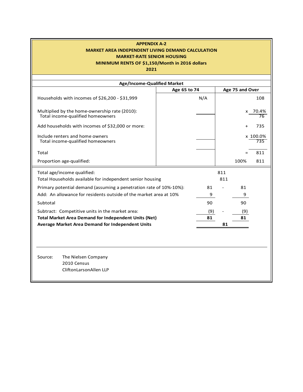## **APPENDIX A-2 MARKET AREA INDEPENDENT LIVING DEMAND CALCULATION MARKET-RATE SENIOR HOUSING**

## **MINIMUM RENTS OF \$1,150/Month in 2016 dollars**

| Age/Income-Qualified Market                                                        |              |     |     |                 |                 |
|------------------------------------------------------------------------------------|--------------|-----|-----|-----------------|-----------------|
|                                                                                    | Age 65 to 74 |     |     | Age 75 and Over |                 |
| Households with incomes of \$26,200 - \$31,999                                     |              | N/A |     |                 | 108             |
| Multiplied by the home-ownership rate (2010):<br>Total income-qualified homeowners |              |     |     |                 | x 70.4%<br>76   |
| Add households with incomes of \$32,000 or more:                                   |              |     |     | $\ddot{}$       | 735             |
| Include renters and home owners<br>Total income-qualified homeowners               |              |     |     |                 | x 100.0%<br>735 |
| Total                                                                              |              |     |     |                 | 811             |
| Proportion age-qualified:                                                          |              |     |     | 100%            | 811             |
| Total age/income qualified:                                                        |              |     | 811 |                 |                 |
| Total Households available for independent senior housing                          |              |     | 811 |                 |                 |
| Primary potential demand (assuming a penetration rate of 10%-10%):                 |              | 81  |     | 81              |                 |
| Add: An allowance for residents outside of the market area at 10%                  |              | 9   |     | 9               |                 |
| Subtotal                                                                           |              | 90  |     | 90              |                 |
| Subtract: Competitive units in the market area:                                    |              | (9) |     | (9)             |                 |
| <b>Total Market Area Demand for Independent Units (Net)</b>                        |              | 81  |     | 81              |                 |
| <b>Average Market Area Demand for Independent Units</b>                            |              |     | 81  |                 |                 |
|                                                                                    |              |     |     |                 |                 |
|                                                                                    |              |     |     |                 |                 |
|                                                                                    |              |     |     |                 |                 |
| Source:<br>The Nielsen Company                                                     |              |     |     |                 |                 |
| 2010 Census                                                                        |              |     |     |                 |                 |
| CliftonLarsonAllen LLP                                                             |              |     |     |                 |                 |
|                                                                                    |              |     |     |                 |                 |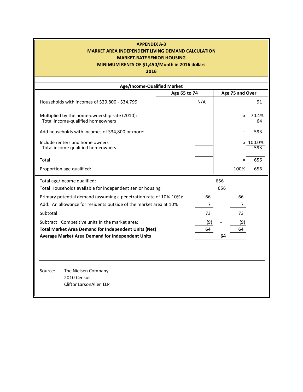## **APPENDIX A-3 APPENDIX A-4 MARKET AREA INDEPENDENT LIVING DEMAND CALCULATION MARKET AREA INDEPENDENT LIVING DEMAND CALCULATION MARKET-RATE SENIOR HOUSING MARKET-RATE SENIOR HOUSING**

## **MINIMUM RENTS OF \$1,450/Month in 2016 dollars MINIMUM RENTS OF \$1,450/Month in 2016 dollars**

| Age/Income-Qualified Market                                                        |              |                |     |                 |                 |
|------------------------------------------------------------------------------------|--------------|----------------|-----|-----------------|-----------------|
|                                                                                    | Age 65 to 74 |                |     | Age 75 and Over |                 |
| Households with incomes of \$29,800 - \$34,799                                     |              | N/A            |     |                 | 91              |
| Multiplied by the home-ownership rate (2010):<br>Total income-qualified homeowners |              |                |     | X               | 70.4%<br>64     |
| Add households with incomes of \$34,800 or more:                                   |              |                |     |                 | 593             |
| Include renters and home owners<br>Total income-qualified homeowners               |              |                |     |                 | x 100.0%<br>593 |
| Total                                                                              |              |                |     | $=$             | 656             |
| Proportion age-qualified:                                                          |              |                |     | 100%            | 656             |
| Total age/income qualified:                                                        |              |                | 656 |                 |                 |
| Total Households available for independent senior housing                          |              |                | 656 |                 |                 |
| Primary potential demand (assuming a penetration rate of 10%-10%):                 |              | 66             |     | 66              |                 |
| Add: An allowance for residents outside of the market area at 10%                  |              | $\overline{7}$ |     |                 |                 |
| Subtotal                                                                           |              | 73             |     | 73              |                 |
| Subtract: Competitive units in the market area:                                    |              | (9)            |     | (9)             |                 |
| <b>Total Market Area Demand for Independent Units (Net)</b>                        |              | 64             |     | 64              |                 |
| Average Market Area Demand for Independent Units                                   |              |                | 64  |                 |                 |
|                                                                                    |              |                |     |                 |                 |
|                                                                                    |              |                |     |                 |                 |
| The Nielsen Company<br>Source:                                                     |              |                |     |                 |                 |
| 2010 Census                                                                        |              |                |     |                 |                 |
| CliftonLarsonAllen LLP                                                             |              |                |     |                 |                 |
|                                                                                    |              |                |     |                 |                 |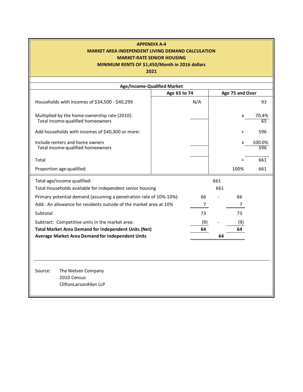## **APPENDIX A-4 MARKET AREA INDEPENDENT LIVING DEMAND CALCULATION MARKET-RATE SENIOR HOUSING**

## **MINIMUM RENTS OF \$1,450/Month in 2016 dollars**

|                                                                                                                 | <b>Age/Income-Qualified Market</b> |                 |               |
|-----------------------------------------------------------------------------------------------------------------|------------------------------------|-----------------|---------------|
|                                                                                                                 | Age 65 to 74                       | Age 75 and Over |               |
| Households with incomes of \$34,500 - \$40,299                                                                  | N/A                                |                 | 93            |
| Multiplied by the home-ownership rate (2010):<br>Total income-qualified homeowners                              |                                    | x               | 70.4%<br>65   |
| Add households with incomes of \$40,300 or more:                                                                |                                    | $\ddot{}$       | 596           |
| Include renters and home owners<br>Total income-qualified homeowners                                            |                                    | x               | 100.0%<br>596 |
| Total                                                                                                           |                                    | $=$             | 661           |
| Proportion age-qualified:                                                                                       |                                    | 100%            | 661           |
| Total age/income qualified:<br>Total Households available for independent senior housing                        |                                    | 661<br>661      |               |
| Primary potential demand (assuming a penetration rate of 10%-10%):                                              | 66                                 | 66              |               |
| Add: An allowance for residents outside of the market area at 10%                                               | 7                                  | 7               |               |
| Subtotal                                                                                                        | 73                                 | 73              |               |
| Subtract: Competitive units in the market area:                                                                 | (9)                                | (9)             |               |
| <b>Total Market Area Demand for Independent Units (Net)</b><br>Average Market Area Demand for Independent Units | 64                                 | 64<br>64        |               |
|                                                                                                                 |                                    |                 |               |
|                                                                                                                 |                                    |                 |               |
|                                                                                                                 |                                    |                 |               |
| Source:<br>The Nielsen Company<br>2010 Census<br>CliftonLarsonAllen LLP                                         |                                    |                 |               |
|                                                                                                                 |                                    |                 |               |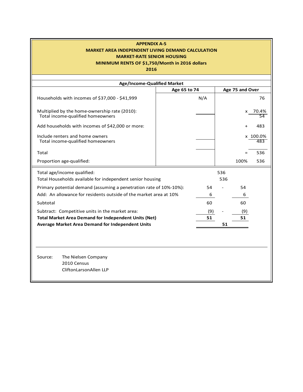## **APPENDIX A-5 APPENDIX A-6 MARKET AREA INDEPENDENT LIVING DEMAND CALCULATION MARKET AREA INDEPENDENT LIVING DEMAND CALCULATION MARKET-RATE SENIOR HOUSING MARKET-RATE SENIOR HOUSING**

## **MINIMUM RENTS OF \$1,750/Month in 2016 dollars MINIMUM RENTS OF \$1,750/Month in 2016 dollars**

| Age/Income-Qualified Market                                                        |              |     |     |                 |                 |
|------------------------------------------------------------------------------------|--------------|-----|-----|-----------------|-----------------|
|                                                                                    | Age 65 to 74 |     |     | Age 75 and Over |                 |
| Households with incomes of \$37,000 - \$41,999                                     |              | N/A |     |                 | 76              |
| Multiplied by the home-ownership rate (2010):<br>Total income-qualified homeowners |              |     |     |                 | x 70.4%<br>54   |
| Add households with incomes of \$42,000 or more:                                   |              |     |     |                 | 483             |
| Include renters and home owners<br>Total income-qualified homeowners               |              |     |     |                 | x 100.0%<br>483 |
| Total                                                                              |              |     |     |                 | 536             |
| Proportion age-qualified:                                                          |              |     |     | 100%            | 536             |
| Total age/income qualified:                                                        |              |     | 536 |                 |                 |
| Total Households available for independent senior housing                          |              |     | 536 |                 |                 |
| Primary potential demand (assuming a penetration rate of 10%-10%):                 |              | 54  |     | 54              |                 |
| Add: An allowance for residents outside of the market area at 10%                  |              | 6   |     | 6               |                 |
| Subtotal                                                                           |              | 60  |     | 60              |                 |
| Subtract: Competitive units in the market area:                                    |              | (9) |     | (9)             |                 |
| <b>Total Market Area Demand for Independent Units (Net)</b>                        |              | 51  |     | 51              |                 |
| Average Market Area Demand for Independent Units                                   |              |     | 51  |                 |                 |
|                                                                                    |              |     |     |                 |                 |
|                                                                                    |              |     |     |                 |                 |
|                                                                                    |              |     |     |                 |                 |
| The Nielsen Company<br>Source:                                                     |              |     |     |                 |                 |
| 2010 Census                                                                        |              |     |     |                 |                 |
| CliftonLarsonAllen LLP                                                             |              |     |     |                 |                 |
|                                                                                    |              |     |     |                 |                 |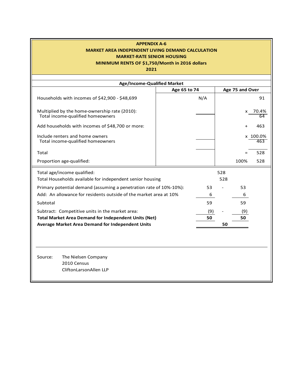## **APPENDIX A-6 MARKET AREA INDEPENDENT LIVING DEMAND CALCULATION MARKET-RATE SENIOR HOUSING**

## **MINIMUM RENTS OF \$1,750/Month in 2016 dollars**

| Age/Income-Qualified Market                                                        |              |     |     |                 |                 |
|------------------------------------------------------------------------------------|--------------|-----|-----|-----------------|-----------------|
|                                                                                    | Age 65 to 74 |     |     | Age 75 and Over |                 |
| Households with incomes of \$42,900 - \$48,699                                     |              | N/A |     |                 | 91              |
| Multiplied by the home-ownership rate (2010):<br>Total income-qualified homeowners |              |     |     | x               | 70.4%           |
| Add households with incomes of \$48,700 or more:                                   |              |     |     | $\ddot{}$       | 463             |
| Include renters and home owners<br>Total income-qualified homeowners               |              |     |     |                 | x 100.0%<br>463 |
| Total                                                                              |              |     |     |                 | 528             |
| Proportion age-qualified:                                                          |              |     |     | 100%            | 528             |
| Total age/income qualified:                                                        |              |     | 528 |                 |                 |
| Total Households available for independent senior housing                          |              |     | 528 |                 |                 |
| Primary potential demand (assuming a penetration rate of 10%-10%):                 |              | 53  |     | 53              |                 |
| Add: An allowance for residents outside of the market area at 10%                  |              | 6   |     | 6               |                 |
| Subtotal                                                                           |              | 59  |     | 59              |                 |
| Subtract: Competitive units in the market area:                                    |              | (9) |     | (9)             |                 |
| <b>Total Market Area Demand for Independent Units (Net)</b>                        |              | 50  |     | 50              |                 |
| Average Market Area Demand for Independent Units                                   |              |     | 50  |                 |                 |
|                                                                                    |              |     |     |                 |                 |
|                                                                                    |              |     |     |                 |                 |
| Source:<br>The Nielsen Company<br>2010 Census<br>CliftonLarsonAllen LLP            |              |     |     |                 |                 |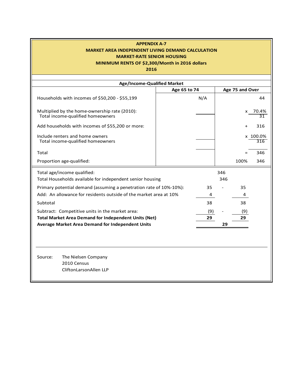## **APPENDIX A-7 MARKET AREA INDEPENDENT LIVING DEMAND CALCULATION MARKET AREA INDEPENDENT LIVING DEMAND CALCULATION MARKET-RATE SENIOR HOUSING MARKET-RATE SENIOR HOUSING**

## **MINIMUM RENTS OF \$2,300/Month in 2016 dollars MINIMUM RENTS OF \$2,300/Month in 2016 dollars**

| Age/Income-Qualified Market<br>Age 75 and Over<br>Age 65 to 74<br>N/A<br>Households with incomes of \$50,200 - \$55,199<br>44<br>Multiplied by the home-ownership rate (2010):<br>x 70.4%<br>Total income-qualified homeowners<br>Add households with incomes of \$55,200 or more:<br>316<br>Include renters and home owners<br>x 100.0%<br>Total income-qualified homeowners<br>316<br>346<br>Total<br>Proportion age-qualified:<br>100%<br>346<br>Total age/income qualified:<br>346<br>Total Households available for independent senior housing<br>346<br>Primary potential demand (assuming a penetration rate of 10%-10%):<br>35<br>35<br>Add: An allowance for residents outside of the market area at 10%<br>4<br>4<br>38<br>38<br>Subtotal<br>Subtract: Competitive units in the market area:<br>(9)<br>(9)<br><b>Total Market Area Demand for Independent Units (Net)</b><br>29<br>29 |                                                  |  |    |    |
|-------------------------------------------------------------------------------------------------------------------------------------------------------------------------------------------------------------------------------------------------------------------------------------------------------------------------------------------------------------------------------------------------------------------------------------------------------------------------------------------------------------------------------------------------------------------------------------------------------------------------------------------------------------------------------------------------------------------------------------------------------------------------------------------------------------------------------------------------------------------------------------------------|--------------------------------------------------|--|----|----|
|                                                                                                                                                                                                                                                                                                                                                                                                                                                                                                                                                                                                                                                                                                                                                                                                                                                                                                 |                                                  |  |    |    |
|                                                                                                                                                                                                                                                                                                                                                                                                                                                                                                                                                                                                                                                                                                                                                                                                                                                                                                 |                                                  |  |    |    |
|                                                                                                                                                                                                                                                                                                                                                                                                                                                                                                                                                                                                                                                                                                                                                                                                                                                                                                 |                                                  |  |    |    |
|                                                                                                                                                                                                                                                                                                                                                                                                                                                                                                                                                                                                                                                                                                                                                                                                                                                                                                 |                                                  |  |    | 31 |
|                                                                                                                                                                                                                                                                                                                                                                                                                                                                                                                                                                                                                                                                                                                                                                                                                                                                                                 |                                                  |  |    |    |
|                                                                                                                                                                                                                                                                                                                                                                                                                                                                                                                                                                                                                                                                                                                                                                                                                                                                                                 |                                                  |  |    |    |
|                                                                                                                                                                                                                                                                                                                                                                                                                                                                                                                                                                                                                                                                                                                                                                                                                                                                                                 |                                                  |  |    |    |
|                                                                                                                                                                                                                                                                                                                                                                                                                                                                                                                                                                                                                                                                                                                                                                                                                                                                                                 |                                                  |  |    |    |
|                                                                                                                                                                                                                                                                                                                                                                                                                                                                                                                                                                                                                                                                                                                                                                                                                                                                                                 |                                                  |  |    |    |
|                                                                                                                                                                                                                                                                                                                                                                                                                                                                                                                                                                                                                                                                                                                                                                                                                                                                                                 |                                                  |  |    |    |
|                                                                                                                                                                                                                                                                                                                                                                                                                                                                                                                                                                                                                                                                                                                                                                                                                                                                                                 |                                                  |  |    |    |
|                                                                                                                                                                                                                                                                                                                                                                                                                                                                                                                                                                                                                                                                                                                                                                                                                                                                                                 |                                                  |  |    |    |
|                                                                                                                                                                                                                                                                                                                                                                                                                                                                                                                                                                                                                                                                                                                                                                                                                                                                                                 |                                                  |  |    |    |
|                                                                                                                                                                                                                                                                                                                                                                                                                                                                                                                                                                                                                                                                                                                                                                                                                                                                                                 |                                                  |  |    |    |
|                                                                                                                                                                                                                                                                                                                                                                                                                                                                                                                                                                                                                                                                                                                                                                                                                                                                                                 |                                                  |  |    |    |
|                                                                                                                                                                                                                                                                                                                                                                                                                                                                                                                                                                                                                                                                                                                                                                                                                                                                                                 | Average Market Area Demand for Independent Units |  | 29 |    |
|                                                                                                                                                                                                                                                                                                                                                                                                                                                                                                                                                                                                                                                                                                                                                                                                                                                                                                 |                                                  |  |    |    |
|                                                                                                                                                                                                                                                                                                                                                                                                                                                                                                                                                                                                                                                                                                                                                                                                                                                                                                 | The Nielsen Company<br>Source:<br>2010 Census    |  |    |    |
| CliftonLarsonAllen LLP                                                                                                                                                                                                                                                                                                                                                                                                                                                                                                                                                                                                                                                                                                                                                                                                                                                                          |                                                  |  |    |    |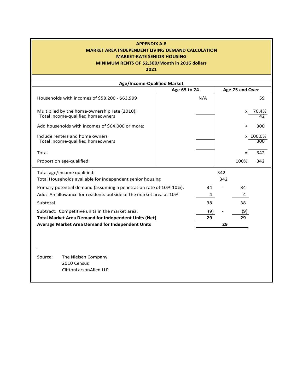## **APPENDIX A-8 MARKET AREA INDEPENDENT LIVING DEMAND CALCULATION MARKET-RATE SENIOR HOUSING**

## **MINIMUM RENTS OF \$2,300/Month in 2016 dollars**

| Age/Income-Qualified Market                                                        |              |                  |
|------------------------------------------------------------------------------------|--------------|------------------|
|                                                                                    | Age 65 to 74 | Age 75 and Over  |
| Households with incomes of \$58,200 - \$63,999                                     | N/A          | 59               |
| Multiplied by the home-ownership rate (2010):<br>Total income-qualified homeowners |              | 70.4%<br>x       |
| Add households with incomes of \$64,000 or more:                                   |              | 300<br>$\ddot{}$ |
| Include renters and home owners<br>Total income-qualified homeowners               |              | x 100.0%<br>300  |
| Total                                                                              |              | 342              |
| Proportion age-qualified:                                                          |              | 100%<br>342      |
| Total age/income qualified:                                                        |              | 342              |
| Total Households available for independent senior housing                          |              | 342              |
| Primary potential demand (assuming a penetration rate of 10%-10%):                 | 34           | 34               |
| Add: An allowance for residents outside of the market area at 10%                  | 4            | 4                |
| Subtotal                                                                           | 38           | 38               |
| Subtract: Competitive units in the market area:                                    | (9)          | (9)              |
| <b>Total Market Area Demand for Independent Units (Net)</b>                        | 29           | 29               |
| <b>Average Market Area Demand for Independent Units</b>                            |              | 29               |
|                                                                                    |              |                  |
| Source:<br>The Nielsen Company                                                     |              |                  |
| 2010 Census                                                                        |              |                  |
| CliftonLarsonAllen LLP                                                             |              |                  |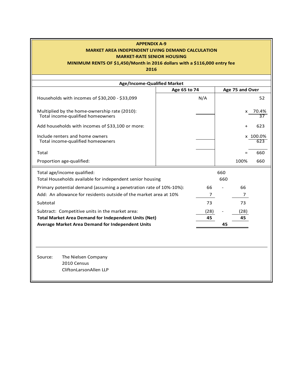### **APPENDIX A-9 APPENDIX A-10 MARKET AREA INDEPENDENT LIVING DEMAND CALCULATION MARKET AREA INDEPENDENT LIVING DEMAND CALCULATION MARKET-RATE SENIOR HOUSING MARKET-RATE SENIOR HOUSING**

## **MINIMUM RENTS OF \$1,450/Month in 2016 dollars with a \$116,000 entry fee MINIMUM RENTS OF \$1,450/Month in 2016 dollars with a \$116,000 entry fee**

| Age/Income-Qualified Market<br>Age 65 to 74<br>Age 75 and Over<br>Households with incomes of \$30,200 - \$33,099<br>N/A<br>Multiplied by the home-ownership rate (2010):<br>x 70.4%<br>Total income-qualified homeowners<br>Add households with incomes of \$33,100 or more:<br>Include renters and home owners<br>x 100.0%<br>Total income-qualified homeowners<br>Total<br>Proportion age-qualified:<br>100%<br>Total age/income qualified:<br>660<br>Total Households available for independent senior housing<br>660<br>Primary potential demand (assuming a penetration rate of 10%-10%):<br>66<br>66<br>Add: An allowance for residents outside of the market area at 10%<br>7<br>7<br>73<br>73<br>Subtotal<br>Subtract: Competitive units in the market area:<br>(28)<br>(28)<br><b>Total Market Area Demand for Independent Units (Net)</b><br>45<br>45 |                                                                         |  |  |                 |
|-----------------------------------------------------------------------------------------------------------------------------------------------------------------------------------------------------------------------------------------------------------------------------------------------------------------------------------------------------------------------------------------------------------------------------------------------------------------------------------------------------------------------------------------------------------------------------------------------------------------------------------------------------------------------------------------------------------------------------------------------------------------------------------------------------------------------------------------------------------------|-------------------------------------------------------------------------|--|--|-----------------|
|                                                                                                                                                                                                                                                                                                                                                                                                                                                                                                                                                                                                                                                                                                                                                                                                                                                                 |                                                                         |  |  |                 |
|                                                                                                                                                                                                                                                                                                                                                                                                                                                                                                                                                                                                                                                                                                                                                                                                                                                                 |                                                                         |  |  |                 |
|                                                                                                                                                                                                                                                                                                                                                                                                                                                                                                                                                                                                                                                                                                                                                                                                                                                                 |                                                                         |  |  | 52              |
|                                                                                                                                                                                                                                                                                                                                                                                                                                                                                                                                                                                                                                                                                                                                                                                                                                                                 |                                                                         |  |  | $\overline{37}$ |
|                                                                                                                                                                                                                                                                                                                                                                                                                                                                                                                                                                                                                                                                                                                                                                                                                                                                 |                                                                         |  |  | 623             |
|                                                                                                                                                                                                                                                                                                                                                                                                                                                                                                                                                                                                                                                                                                                                                                                                                                                                 |                                                                         |  |  | 623             |
|                                                                                                                                                                                                                                                                                                                                                                                                                                                                                                                                                                                                                                                                                                                                                                                                                                                                 |                                                                         |  |  | 660             |
|                                                                                                                                                                                                                                                                                                                                                                                                                                                                                                                                                                                                                                                                                                                                                                                                                                                                 |                                                                         |  |  | 660             |
|                                                                                                                                                                                                                                                                                                                                                                                                                                                                                                                                                                                                                                                                                                                                                                                                                                                                 |                                                                         |  |  |                 |
|                                                                                                                                                                                                                                                                                                                                                                                                                                                                                                                                                                                                                                                                                                                                                                                                                                                                 |                                                                         |  |  |                 |
|                                                                                                                                                                                                                                                                                                                                                                                                                                                                                                                                                                                                                                                                                                                                                                                                                                                                 |                                                                         |  |  |                 |
|                                                                                                                                                                                                                                                                                                                                                                                                                                                                                                                                                                                                                                                                                                                                                                                                                                                                 |                                                                         |  |  |                 |
|                                                                                                                                                                                                                                                                                                                                                                                                                                                                                                                                                                                                                                                                                                                                                                                                                                                                 |                                                                         |  |  |                 |
|                                                                                                                                                                                                                                                                                                                                                                                                                                                                                                                                                                                                                                                                                                                                                                                                                                                                 |                                                                         |  |  |                 |
|                                                                                                                                                                                                                                                                                                                                                                                                                                                                                                                                                                                                                                                                                                                                                                                                                                                                 |                                                                         |  |  |                 |
| Average Market Area Demand for Independent Units<br>45                                                                                                                                                                                                                                                                                                                                                                                                                                                                                                                                                                                                                                                                                                                                                                                                          |                                                                         |  |  |                 |
|                                                                                                                                                                                                                                                                                                                                                                                                                                                                                                                                                                                                                                                                                                                                                                                                                                                                 |                                                                         |  |  |                 |
|                                                                                                                                                                                                                                                                                                                                                                                                                                                                                                                                                                                                                                                                                                                                                                                                                                                                 | The Nielsen Company<br>Source:<br>2010 Census<br>CliftonLarsonAllen LLP |  |  |                 |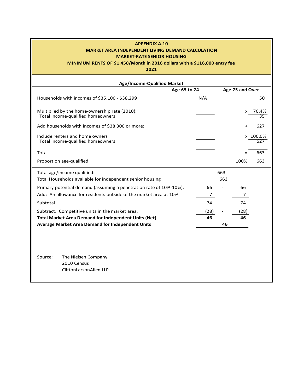#### **APPENDIX A-10 MARKET AREA INDEPENDENT LIVING DEMAND CALCULATION MARKET-RATE SENIOR HOUSING**

## **MINIMUM RENTS OF \$1,450/Month in 2016 dollars with a \$116,000 entry fee**

| Age/Income-Qualified Market                                                        |                |                 |             |
|------------------------------------------------------------------------------------|----------------|-----------------|-------------|
|                                                                                    | Age 65 to 74   | Age 75 and Over |             |
| Households with incomes of \$35,100 - \$38,299                                     | N/A            |                 | 50          |
| Multiplied by the home-ownership rate (2010):<br>Total income-qualified homeowners |                | x               | 70.4%<br>35 |
| Add households with incomes of \$38,300 or more:                                   |                | $\ddot{}$       | 627         |
| Include renters and home owners<br>Total income-qualified homeowners               |                |                 | x 100.0%    |
| Total                                                                              |                | $=$             | 663         |
| Proportion age-qualified:                                                          |                | 100%            | 663         |
| Total age/income qualified:                                                        |                | 663             |             |
| Total Households available for independent senior housing                          |                | 663             |             |
| Primary potential demand (assuming a penetration rate of 10%-10%):                 | 66             | 66              |             |
| Add: An allowance for residents outside of the market area at 10%                  | $\overline{7}$ | $\overline{7}$  |             |
| Subtotal                                                                           | 74             | 74              |             |
| Subtract: Competitive units in the market area:                                    | (28)           | (28)            |             |
| <b>Total Market Area Demand for Independent Units (Net)</b>                        | 46             | 46              |             |
| <b>Average Market Area Demand for Independent Units</b>                            |                | 46              |             |
|                                                                                    |                |                 |             |
| Source:<br>The Nielsen Company<br>2010 Census<br>CliftonLarsonAllen LLP            |                |                 |             |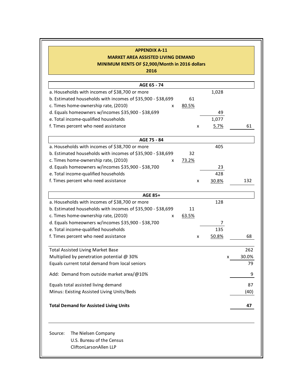## **APPENDIX A-11 APPENDIX A-12 MARKET AREA ASSISTED LIVING DEMAND MARKET AREA ASSISTED LIVING DEMAND**

**MINIMUM RENTS OF \$2,900/Month in 2016 dollars MINIMUM RENTS OF \$2,900/Month in 2016 dollars**

| 1,028             |
|-------------------|
|                   |
|                   |
| 49                |
| 1,077             |
| 61<br><u>5.7%</u> |
|                   |
| 405               |
|                   |
|                   |
| 23                |
| 428               |
| 30.8%<br>132      |
|                   |
| 128               |
|                   |
|                   |
| 7                 |
| 135               |
| 50.8%<br>68       |
| 262               |
| 30.0%<br>x        |
| 79                |
|                   |
| 87                |
| (40)              |
| 47                |
|                   |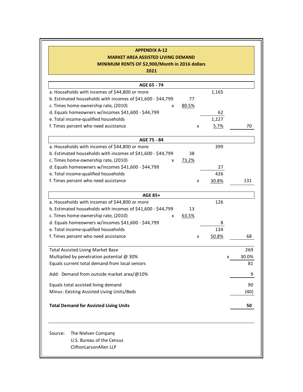## **APPENDIX A-12 MARKET AREA ASSISTED LIVING DEMAND**

**MINIMUM RENTS OF \$2,900/Month in 2016 dollars**

| AGE 65 - 74                                                 |       |       |       |
|-------------------------------------------------------------|-------|-------|-------|
| a. Households with incomes of \$44,800 or more              |       | 1,165 |       |
| b. Estimated households with incomes of \$41,600 - \$44,799 | 77    |       |       |
| c. Times home-ownership rate, (2010)<br>x                   | 80.5% |       |       |
| d. Equals homeowners w/incomes \$41,600 - \$44,799          |       | 62    |       |
| e. Total income-qualified households                        |       | 1,227 |       |
| f. Times percent who need assistance                        | x     | 5.7%  | 70    |
| AGE 75 - 84                                                 |       |       |       |
| a. Households with incomes of \$44,800 or more              |       | 399   |       |
| b. Estimated households with incomes of \$41,600 - \$44,799 | 38    |       |       |
| c. Times home-ownership rate, (2010)<br>x                   | 73.2% |       |       |
| d. Equals homeowners w/incomes \$41,600 - \$44,799          |       | 27    |       |
| e. Total income-qualified households                        |       | 426   |       |
| f. Times percent who need assistance                        | x     | 30.8% | 131   |
| AGE 85+                                                     |       |       |       |
| a. Households with incomes of \$44,800 or more              |       | 126   |       |
| b. Estimated households with incomes of \$41,600 - \$44,799 | 13    |       |       |
| c. Times home-ownership rate, (2010)<br>x                   | 63.5% |       |       |
| d. Equals homeowners w/incomes \$41,600 - \$44,799          |       | 8     |       |
| e. Total income-qualified households                        |       | 134   |       |
| f. Times percent who need assistance                        | x     | 50.8% | 68    |
| <b>Total Assisted Living Market Base</b>                    |       |       | 269   |
| Multiplied by penetration potential @ 30%                   |       | x     | 30.0% |
| Equals current total demand from local seniors              |       |       | 81    |
| Add: Demand from outside market area/@10%                   |       |       | 9     |
| Equals total assisted living demand                         |       |       | 90    |
| Minus: Existing Assisted Living Units/Beds                  |       |       | (40)  |
| <b>Total Demand for Assisted Living Units</b>               |       |       | 50    |
|                                                             |       |       |       |
| Source:<br>The Nielsen Company<br>U.S. Bureau of the Census |       |       |       |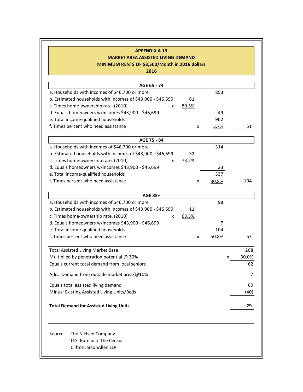## **APPENDIX A-13 APPENDIX A-14**

## **MARKET AREA ASSISTED LIVING DEMAND MARKET AREA ASSISTED LIVING DEMAND**

**MINIMUM RENTS OF \$3,500/Month in 2016 dollars MINIMUM RENTS OF \$3,500/Month in 2016 dollars**

| AGE 65 - 74                                                                           |       |       |       |
|---------------------------------------------------------------------------------------|-------|-------|-------|
| a. Households with incomes of \$46,700 or more                                        |       | 853   |       |
| b. Estimated households with incomes of \$43,900 - \$46,699                           | 61    |       |       |
| c. Times home-ownership rate, (2010)<br>x                                             | 80.5% |       |       |
| d. Equals homeowners w/incomes \$43,900 - \$46,699                                    |       | 49    |       |
| e. Total income-qualified households                                                  |       | 902   |       |
| f. Times percent who need assistance                                                  | x     | 5.7%  | 51    |
| AGE 75 - 84                                                                           |       |       |       |
| a. Households with incomes of \$46,700 or more                                        |       | 314   |       |
| b. Estimated households with incomes of \$43,900 - \$46,699                           | 32    |       |       |
| c. Times home-ownership rate, (2010)<br>x                                             | 73.2% |       |       |
| d. Equals homeowners w/incomes \$43,900 - \$46,699                                    |       | 23    |       |
| e. Total income-qualified households                                                  |       | 337   |       |
| f. Times percent who need assistance                                                  | x     | 30.8% | 104   |
| <b>AGE 85+</b>                                                                        |       |       |       |
| a. Households with incomes of \$46,700 or more                                        |       | 98    |       |
| b. Estimated households with incomes of \$43,900 - \$46,699                           | 11    |       |       |
| c. Times home-ownership rate, (2010)<br>x                                             | 63.5% |       |       |
| d. Equals homeowners w/incomes \$43,900 - \$46,699                                    |       | 7     |       |
| e. Total income-qualified households                                                  |       | 104   |       |
| f. Times percent who need assistance                                                  | x     | 50.8% | 53    |
| <b>Total Assisted Living Market Base</b>                                              |       |       | 208   |
| Multiplied by penetration potential @ 30%                                             |       | x     | 30.0% |
| Equals current total demand from local seniors                                        |       |       | 62    |
| Add: Demand from outside market area/@10%                                             |       |       | 7     |
| Equals total assisted living demand                                                   |       |       | 69    |
| Minus: Existing Assisted Living Units/Beds                                            |       |       | (40)  |
| <b>Total Demand for Assisted Living Units</b>                                         |       |       | 29    |
| Source:<br>The Nielsen Company<br>U.S. Bureau of the Census<br>CliftonLarsonAllen LLP |       |       |       |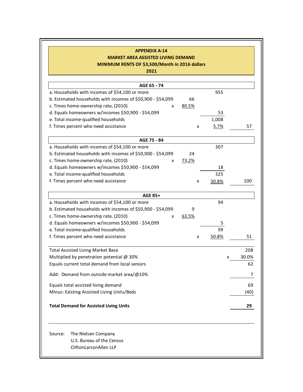#### **APPENDIX A-14 MARKET AREA ASSISTED LIVING DEMAND**

b

#### **MINIMUM RENTS OF \$3,500/Month in 2016 dollars**

| AGE 65 - 74                                                                           |       |             |       |
|---------------------------------------------------------------------------------------|-------|-------------|-------|
| a. Households with incomes of \$54,100 or more                                        |       | 955         |       |
| b. Estimated households with incomes of \$50,900 - \$54,099                           | 66    |             |       |
| c. Times home-ownership rate, (2010)<br>x                                             | 80.5% |             |       |
| d. Equals homeowners w/incomes \$50,900 - \$54,099                                    |       | 53          |       |
| e. Total income-qualified households                                                  |       | 1,008       |       |
| f. Times percent who need assistance                                                  | x     | <u>5.7%</u> | 57    |
| AGE 75 - 84                                                                           |       |             |       |
| a. Households with incomes of \$54,100 or more                                        |       | 307         |       |
| b. Estimated households with incomes of \$50,900 - \$54,099                           | 24    |             |       |
| c. Times home-ownership rate, (2010)<br>x                                             | 73.2% |             |       |
| d. Equals homeowners w/incomes \$50,900 - \$54,099                                    |       | 18          |       |
| e. Total income-qualified households                                                  |       | 325         |       |
| f. Times percent who need assistance                                                  | x     | 30.8%       | 100   |
| <b>AGE 85+</b>                                                                        |       |             |       |
| a. Households with incomes of \$54,100 or more                                        |       | 94          |       |
| b. Estimated households with incomes of \$50,900 - \$54,099                           | 9     |             |       |
| c. Times home-ownership rate, (2010)<br>x                                             | 63.5% |             |       |
| d. Equals homeowners w/incomes \$50,900 - \$54,099                                    |       | 5           |       |
| e. Total income-qualified households                                                  |       | 99          |       |
| f. Times percent who need assistance                                                  | x     | 50.8%       | 51    |
| <b>Total Assisted Living Market Base</b>                                              |       |             | 208   |
| Multiplied by penetration potential @ 30%                                             |       | x           | 30.0% |
| Equals current total demand from local seniors                                        |       |             | 62    |
| Add: Demand from outside market area/@10%                                             |       |             | 7     |
| Equals total assisted living demand                                                   |       |             | 69    |
| Minus: Existing Assisted Living Units/Beds                                            |       |             | (40)  |
| <b>Total Demand for Assisted Living Units</b>                                         |       |             | 29    |
| Source:<br>The Nielsen Company<br>U.S. Bureau of the Census<br>CliftonLarsonAllen LLP |       |             |       |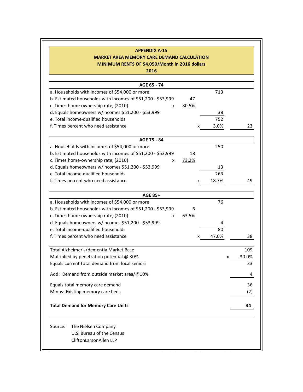| <b>APPENDIX A-15</b>                                        |       |       |       |
|-------------------------------------------------------------|-------|-------|-------|
| <b>MARKET AREA MEMORY CARE DEMAND CALCULATION</b>           |       |       |       |
| MINIMUM RENTS OF \$4,050/Month in 2016 dollars              |       |       |       |
| 2016                                                        |       |       |       |
| AGE 65 - 74                                                 |       |       |       |
| a. Households with incomes of \$54,000 or more              |       | 713   |       |
| b. Estimated households with incomes of \$51,200 - \$53,999 | 47    |       |       |
| c. Times home-ownership rate, (2010)<br>X                   | 80.5% |       |       |
| d. Equals homeowners w/incomes \$51,200 - \$53,999          |       | 38    |       |
| e. Total income-qualified households                        |       | 752   |       |
| f. Times percent who need assistance                        | x     | 3.0%  | 23    |
|                                                             |       |       |       |
| AGE 75 - 84                                                 |       |       |       |
| a. Households with incomes of \$54,000 or more              |       | 250   |       |
| b. Estimated households with incomes of \$51,200 - \$53,999 | 18    |       |       |
| c. Times home-ownership rate, (2010)<br>X                   | 73.2% |       |       |
| d. Equals homeowners w/incomes \$51,200 - \$53,999          |       | 13    |       |
| e. Total income-qualified households                        |       | 263   |       |
| f. Times percent who need assistance                        | x     | 18.7% | 49    |
|                                                             |       |       |       |
| <b>AGE 85+</b>                                              |       |       |       |
| a. Households with incomes of \$54,000 or more              |       | 76    |       |
| b. Estimated households with incomes of \$51,200 - \$53,999 | 6     |       |       |
| c. Times home-ownership rate, (2010)<br>X                   | 63.5% |       |       |
| d. Equals homeowners w/incomes \$51,200 - \$53,999          |       |       |       |
| e. Total income-qualified households                        |       | 80    |       |
| f. Times percent who need assistance                        |       | 47.0% | 38    |
| Total Alzheimer's/dementia Market Base                      |       |       | 109   |
| Multiplied by penetration potential @ 30%                   |       | x     | 30.0% |
| Equals current total demand from local seniors              |       |       | 33    |
| Add: Demand from outside market area/@10%                   |       |       | 4     |
|                                                             |       |       |       |
| Equals total memory care demand                             |       |       | 36    |
| Minus: Existing memory care beds                            |       |       | (2)   |
| <b>Total Demand for Memory Care Units</b>                   |       |       | 34    |
| The Nielsen Company<br>Source:                              |       |       |       |
| U.S. Bureau of the Census                                   |       |       |       |
| CliftonLarsonAllen LLP                                      |       |       |       |
|                                                             |       |       |       |